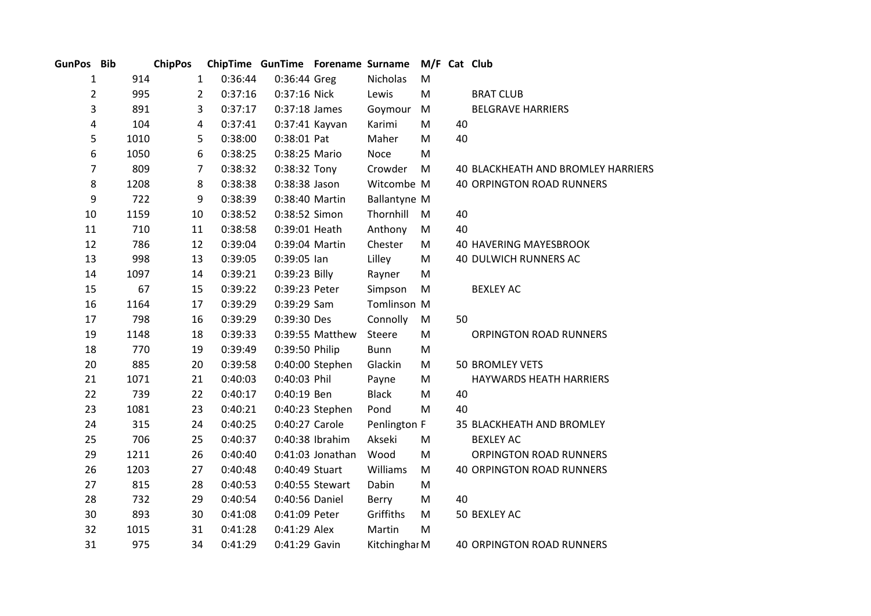| GunPos Bib     |      | <b>ChipPos</b> |         | ChipTime GunTime Forename Surname |                  |               |           |    | M/F Cat Club                       |
|----------------|------|----------------|---------|-----------------------------------|------------------|---------------|-----------|----|------------------------------------|
| 1              | 914  | $\mathbf{1}$   | 0:36:44 | 0:36:44 Greg                      |                  | Nicholas      | M         |    |                                    |
| $\overline{2}$ | 995  | $\overline{2}$ | 0:37:16 | 0:37:16 Nick                      |                  | Lewis         | M         |    | <b>BRAT CLUB</b>                   |
| 3              | 891  | 3              | 0:37:17 | $0:37:18$ James                   |                  | Goymour       | M         |    | <b>BELGRAVE HARRIERS</b>           |
| 4              | 104  | 4              | 0:37:41 |                                   | 0:37:41 Kayvan   | Karimi        | M         | 40 |                                    |
| 5              | 1010 | 5              | 0:38:00 | 0:38:01 Pat                       |                  | Maher         | M         | 40 |                                    |
| 6              | 1050 | 6              | 0:38:25 | 0:38:25 Mario                     |                  | <b>Noce</b>   | M         |    |                                    |
| $\overline{7}$ | 809  | $\overline{7}$ | 0:38:32 | 0:38:32 Tony                      |                  | Crowder       | ${\sf M}$ |    | 40 BLACKHEATH AND BROMLEY HARRIERS |
| 8              | 1208 | 8              | 0:38:38 | 0:38:38 Jason                     |                  | Witcombe M    |           |    | <b>40 ORPINGTON ROAD RUNNERS</b>   |
| 9              | 722  | 9              | 0:38:39 |                                   | 0:38:40 Martin   | Ballantyne M  |           |    |                                    |
| 10             | 1159 | 10             | 0:38:52 | 0:38:52 Simon                     |                  | Thornhill     | M         | 40 |                                    |
| 11             | 710  | 11             | 0:38:58 | 0:39:01 Heath                     |                  | Anthony       | M         | 40 |                                    |
| 12             | 786  | 12             | 0:39:04 | 0:39:04 Martin                    |                  | Chester       | M         |    | <b>40 HAVERING MAYESBROOK</b>      |
| 13             | 998  | 13             | 0:39:05 | $0:39:05$ lan                     |                  | Lilley        | ${\sf M}$ |    | 40 DULWICH RUNNERS AC              |
| 14             | 1097 | 14             | 0:39:21 | 0:39:23 Billy                     |                  | Rayner        | M         |    |                                    |
| 15             | 67   | 15             | 0:39:22 | 0:39:23 Peter                     |                  | Simpson       | M         |    | <b>BEXLEY AC</b>                   |
| 16             | 1164 | 17             | 0:39:29 | 0:39:29 Sam                       |                  | Tomlinson M   |           |    |                                    |
| 17             | 798  | 16             | 0:39:29 | 0:39:30 Des                       |                  | Connolly      | M         | 50 |                                    |
| 19             | 1148 | 18             | 0:39:33 |                                   | 0:39:55 Matthew  | Steere        | M         |    | <b>ORPINGTON ROAD RUNNERS</b>      |
| 18             | 770  | 19             | 0:39:49 | 0:39:50 Philip                    |                  | <b>Bunn</b>   | M         |    |                                    |
| 20             | 885  | 20             | 0:39:58 |                                   | 0:40:00 Stephen  | Glackin       | M         |    | <b>50 BROMLEY VETS</b>             |
| 21             | 1071 | 21             | 0:40:03 | 0:40:03 Phil                      |                  | Payne         | M         |    | HAYWARDS HEATH HARRIERS            |
| 22             | 739  | 22             | 0:40:17 | 0:40:19 Ben                       |                  | <b>Black</b>  | ${\sf M}$ | 40 |                                    |
| 23             | 1081 | 23             | 0:40:21 |                                   | 0:40:23 Stephen  | Pond          | M         | 40 |                                    |
| 24             | 315  | 24             | 0:40:25 | 0:40:27 Carole                    |                  | Penlington F  |           |    | 35 BLACKHEATH AND BROMLEY          |
| 25             | 706  | 25             | 0:40:37 |                                   | 0:40:38 Ibrahim  | Akseki        | M         |    | <b>BEXLEY AC</b>                   |
| 29             | 1211 | 26             | 0:40:40 |                                   | 0:41:03 Jonathan | Wood          | M         |    | ORPINGTON ROAD RUNNERS             |
| 26             | 1203 | 27             | 0:40:48 | 0:40:49 Stuart                    |                  | Williams      | M         |    | <b>40 ORPINGTON ROAD RUNNERS</b>   |
| 27             | 815  | 28             | 0:40:53 |                                   | 0:40:55 Stewart  | Dabin         | M         |    |                                    |
| 28             | 732  | 29             | 0:40:54 | 0:40:56 Daniel                    |                  | Berry         | M         | 40 |                                    |
| 30             | 893  | 30             | 0:41:08 | 0:41:09 Peter                     |                  | Griffiths     | M         |    | 50 BEXLEY AC                       |
| 32             | 1015 | 31             | 0:41:28 | 0:41:29 Alex                      |                  | Martin        | M         |    |                                    |
| 31             | 975  | 34             | 0:41:29 | 0:41:29 Gavin                     |                  | Kitchinghar M |           |    | <b>40 ORPINGTON ROAD RUNNERS</b>   |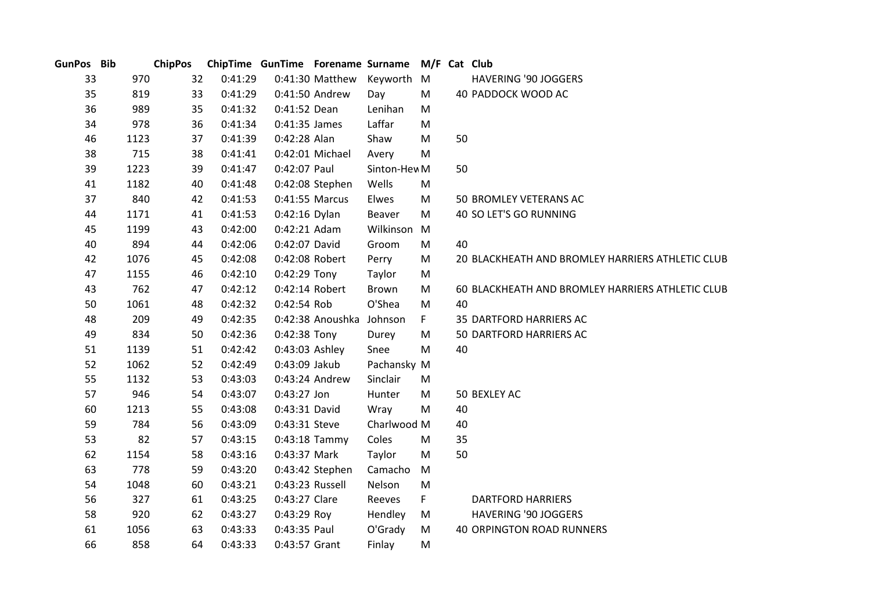| GunPos Bib |      | <b>ChipPos</b> |         |                 |                  | ChipTime GunTime Forename Surname | M/F Cat Club |    |                                                  |
|------------|------|----------------|---------|-----------------|------------------|-----------------------------------|--------------|----|--------------------------------------------------|
| 33         | 970  | 32             | 0:41:29 |                 | 0:41:30 Matthew  | Keyworth M                        |              |    | <b>HAVERING '90 JOGGERS</b>                      |
| 35         | 819  | 33             | 0:41:29 |                 | 0:41:50 Andrew   | Day                               | M            |    | 40 PADDOCK WOOD AC                               |
| 36         | 989  | 35             | 0:41:32 | 0:41:52 Dean    |                  | Lenihan                           | M            |    |                                                  |
| 34         | 978  | 36             | 0:41:34 | 0:41:35 James   |                  | Laffar                            | M            |    |                                                  |
| 46         | 1123 | 37             | 0:41:39 | 0:42:28 Alan    |                  | Shaw                              | M            | 50 |                                                  |
| 38         | 715  | 38             | 0:41:41 |                 | 0:42:01 Michael  | Avery                             | M            |    |                                                  |
| 39         | 1223 | 39             | 0:41:47 | 0:42:07 Paul    |                  | Sinton-Hev M                      |              | 50 |                                                  |
| 41         | 1182 | 40             | 0:41:48 |                 | 0:42:08 Stephen  | Wells                             | M            |    |                                                  |
| 37         | 840  | 42             | 0:41:53 |                 | 0:41:55 Marcus   | Elwes                             | M            |    | 50 BROMLEY VETERANS AC                           |
| 44         | 1171 | 41             | 0:41:53 | 0:42:16 Dylan   |                  | Beaver                            | M            |    | 40 SO LET'S GO RUNNING                           |
| 45         | 1199 | 43             | 0:42:00 | 0:42:21 Adam    |                  | Wilkinson                         | M            |    |                                                  |
| 40         | 894  | 44             | 0:42:06 | 0:42:07 David   |                  | Groom                             | M            | 40 |                                                  |
| 42         | 1076 | 45             | 0:42:08 | 0:42:08 Robert  |                  | Perry                             | M            |    | 20 BLACKHEATH AND BROMLEY HARRIERS ATHLETIC CLUB |
| 47         | 1155 | 46             | 0:42:10 | 0:42:29 Tony    |                  | Taylor                            | M            |    |                                                  |
| 43         | 762  | 47             | 0:42:12 | 0:42:14 Robert  |                  | Brown                             | M            |    | 60 BLACKHEATH AND BROMLEY HARRIERS ATHLETIC CLUB |
| 50         | 1061 | 48             | 0:42:32 | 0:42:54 Rob     |                  | O'Shea                            | M            | 40 |                                                  |
| 48         | 209  | 49             | 0:42:35 |                 | 0:42:38 Anoushka | Johnson                           | F.           |    | 35 DARTFORD HARRIERS AC                          |
| 49         | 834  | 50             | 0:42:36 | 0:42:38 Tony    |                  | Durey                             | M            |    | 50 DARTFORD HARRIERS AC                          |
| 51         | 1139 | 51             | 0:42:42 | 0:43:03 Ashley  |                  | Snee                              | M            | 40 |                                                  |
| 52         | 1062 | 52             | 0:42:49 | 0:43:09 Jakub   |                  | Pachansky M                       |              |    |                                                  |
| 55         | 1132 | 53             | 0:43:03 |                 | 0:43:24 Andrew   | Sinclair                          | M            |    |                                                  |
| 57         | 946  | 54             | 0:43:07 | 0:43:27 Jon     |                  | Hunter                            | M            |    | 50 BEXLEY AC                                     |
| 60         | 1213 | 55             | 0:43:08 | 0:43:31 David   |                  | Wray                              | M            | 40 |                                                  |
| 59         | 784  | 56             | 0:43:09 | 0:43:31 Steve   |                  | Charlwood M                       |              | 40 |                                                  |
| 53         | 82   | 57             | 0:43:15 |                 | $0:43:18$ Tammy  | Coles                             | M            | 35 |                                                  |
| 62         | 1154 | 58             | 0:43:16 | 0:43:37 Mark    |                  | Taylor                            | M            | 50 |                                                  |
| 63         | 778  | 59             | 0:43:20 |                 | 0:43:42 Stephen  | Camacho                           | M            |    |                                                  |
| 54         | 1048 | 60             | 0:43:21 | 0:43:23 Russell |                  | Nelson                            | M            |    |                                                  |
| 56         | 327  | 61             | 0:43:25 | 0:43:27 Clare   |                  | Reeves                            | F.           |    | <b>DARTFORD HARRIERS</b>                         |
| 58         | 920  | 62             | 0:43:27 | 0:43:29 Roy     |                  | Hendley                           | M            |    | <b>HAVERING '90 JOGGERS</b>                      |
| 61         | 1056 | 63             | 0:43:33 | 0:43:35 Paul    |                  | O'Grady                           | M            |    | <b>40 ORPINGTON ROAD RUNNERS</b>                 |
| 66         | 858  | 64             | 0:43:33 | 0:43:57 Grant   |                  | Finlay                            | М            |    |                                                  |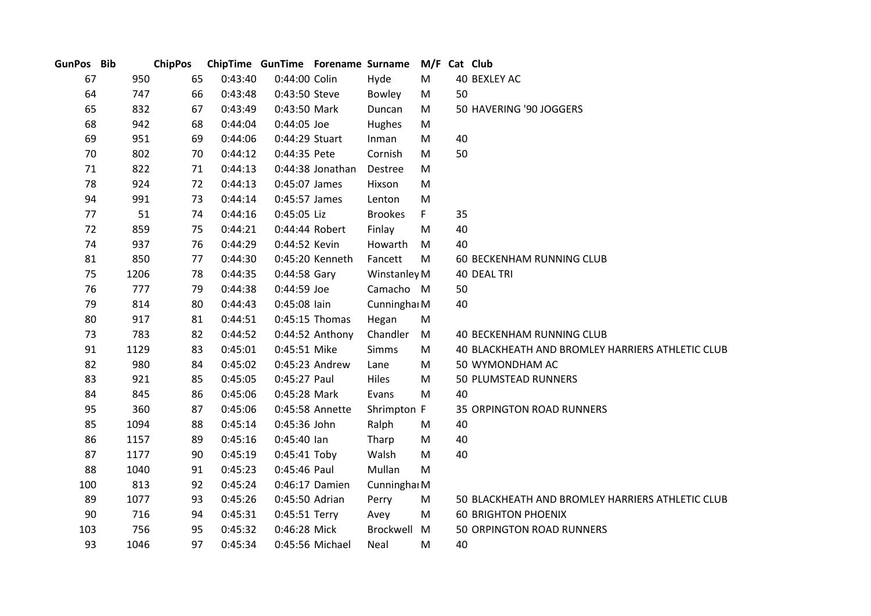| GunPos Bib |      | <b>ChipPos</b> |         | ChipTime GunTime Forename Surname |                  |                |           | M/F Cat Club                                     |
|------------|------|----------------|---------|-----------------------------------|------------------|----------------|-----------|--------------------------------------------------|
| 67         | 950  | 65             | 0:43:40 | 0:44:00 Colin                     |                  | Hyde           | M         | 40 BEXLEY AC                                     |
| 64         | 747  | 66             | 0:43:48 | 0:43:50 Steve                     |                  | Bowley         | M         | 50                                               |
| 65         | 832  | 67             | 0:43:49 | 0:43:50 Mark                      |                  | Duncan         | M         | 50 HAVERING '90 JOGGERS                          |
| 68         | 942  | 68             | 0:44:04 | 0:44:05 Joe                       |                  | Hughes         | M         |                                                  |
| 69         | 951  | 69             | 0:44:06 | 0:44:29 Stuart                    |                  | Inman          | M         | 40                                               |
| 70         | 802  | 70             | 0:44:12 | 0:44:35 Pete                      |                  | Cornish        | M         | 50                                               |
| 71         | 822  | 71             | 0:44:13 |                                   | 0:44:38 Jonathan | Destree        | M         |                                                  |
| 78         | 924  | 72             | 0:44:13 | 0:45:07 James                     |                  | Hixson         | M         |                                                  |
| 94         | 991  | 73             | 0:44:14 | 0:45:57 James                     |                  | Lenton         | M         |                                                  |
| 77         | 51   | 74             | 0:44:16 | 0:45:05 Liz                       |                  | <b>Brookes</b> | F         | 35                                               |
| 72         | 859  | 75             | 0:44:21 |                                   | 0:44:44 Robert   | Finlay         | ${\sf M}$ | 40                                               |
| 74         | 937  | 76             | 0:44:29 | 0:44:52 Kevin                     |                  | Howarth        | M         | 40                                               |
| 81         | 850  | 77             | 0:44:30 |                                   | 0:45:20 Kenneth  | Fancett        | M         | 60 BECKENHAM RUNNING CLUB                        |
| 75         | 1206 | 78             | 0:44:35 | $0:44:58$ Gary                    |                  | Winstanley M   |           | 40 DEAL TRI                                      |
| 76         | 777  | 79             | 0:44:38 | 0:44:59 Joe                       |                  | Camacho M      |           | 50                                               |
| 79         | 814  | 80             | 0:44:43 | 0:45:08 lain                      |                  | Cunninghai M   |           | 40                                               |
| 80         | 917  | 81             | 0:44:51 |                                   | 0:45:15 Thomas   | Hegan          | M         |                                                  |
| 73         | 783  | 82             | 0:44:52 |                                   | 0:44:52 Anthony  | Chandler       | M         | <b>40 BECKENHAM RUNNING CLUB</b>                 |
| 91         | 1129 | 83             | 0:45:01 | 0:45:51 Mike                      |                  | <b>Simms</b>   | M         | 40 BLACKHEATH AND BROMLEY HARRIERS ATHLETIC CLUB |
| 82         | 980  | 84             | 0:45:02 |                                   | 0:45:23 Andrew   | Lane           | M         | 50 WYMONDHAM AC                                  |
| 83         | 921  | 85             | 0:45:05 | 0:45:27 Paul                      |                  | Hiles          | M         | 50 PLUMSTEAD RUNNERS                             |
| 84         | 845  | 86             | 0:45:06 | 0:45:28 Mark                      |                  | Evans          | M         | 40                                               |
| 95         | 360  | 87             | 0:45:06 |                                   | 0:45:58 Annette  | Shrimpton F    |           | <b>35 ORPINGTON ROAD RUNNERS</b>                 |
| 85         | 1094 | 88             | 0:45:14 | 0:45:36 John                      |                  | Ralph          | M         | 40                                               |
| 86         | 1157 | 89             | 0:45:16 | $0:45:40$ lan                     |                  | Tharp          | M         | 40                                               |
| 87         | 1177 | 90             | 0:45:19 | $0:45:41$ Toby                    |                  | Walsh          | M         | 40                                               |
| 88         | 1040 | 91             | 0:45:23 | 0:45:46 Paul                      |                  | Mullan         | M         |                                                  |
| 100        | 813  | 92             | 0:45:24 |                                   | 0:46:17 Damien   | Cunninghai M   |           |                                                  |
| 89         | 1077 | 93             | 0:45:26 | 0:45:50 Adrian                    |                  | Perry          | M         | 50 BLACKHEATH AND BROMLEY HARRIERS ATHLETIC CLUB |
| 90         | 716  | 94             | 0:45:31 | 0:45:51 Terry                     |                  | Avey           | M         | <b>60 BRIGHTON PHOENIX</b>                       |
| 103        | 756  | 95             | 0:45:32 | 0:46:28 Mick                      |                  | Brockwell      | M         | 50 ORPINGTON ROAD RUNNERS                        |
| 93         | 1046 | 97             | 0:45:34 |                                   | 0:45:56 Michael  | <b>Neal</b>    | M         | 40                                               |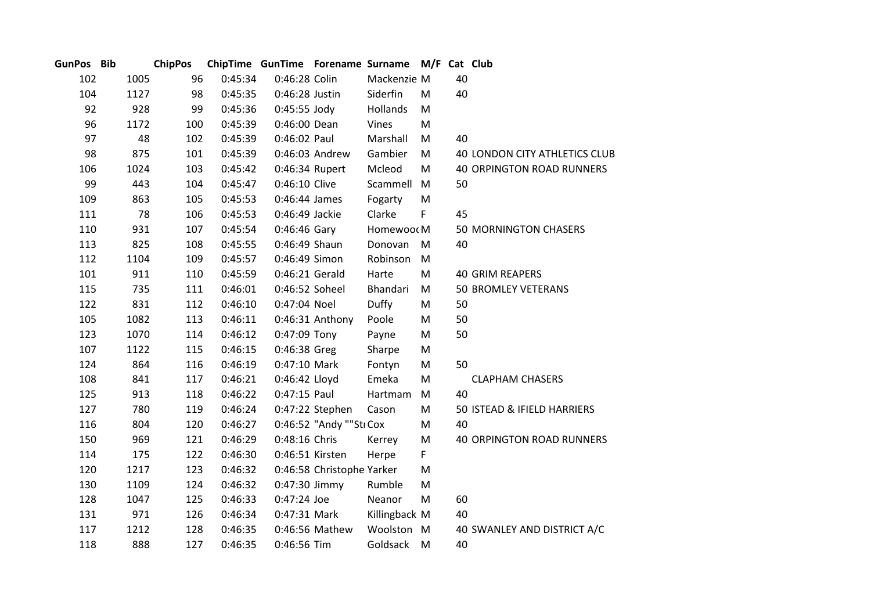| GunPos Bib |      | <b>ChipPos</b> |         | ChipTime GunTime Forename Surname M/F Cat Club |                           |                 |           |    |                                      |
|------------|------|----------------|---------|------------------------------------------------|---------------------------|-----------------|-----------|----|--------------------------------------|
| 102        | 1005 | 96             | 0:45:34 | 0:46:28 Colin                                  |                           | Mackenzie M     |           | 40 |                                      |
| 104        | 1127 | 98             | 0:45:35 | 0:46:28 Justin                                 |                           | Siderfin        | M         | 40 |                                      |
| 92         | 928  | 99             | 0:45:36 | $0:45:55$ Jody                                 |                           | Hollands        | M         |    |                                      |
| 96         | 1172 | 100            | 0:45:39 | 0:46:00 Dean                                   |                           | Vines           | M         |    |                                      |
| 97         |      | 102<br>48      | 0:45:39 | 0:46:02 Paul                                   |                           | Marshall        | M         | 40 |                                      |
| 98         | 875  | 101            | 0:45:39 |                                                | 0:46:03 Andrew            | Gambier         | M         |    | <b>40 LONDON CITY ATHLETICS CLUB</b> |
| 106        | 1024 | 103            | 0:45:42 | 0:46:34 Rupert                                 |                           | Mcleod          | M         |    | <b>40 ORPINGTON ROAD RUNNERS</b>     |
| 99         | 443  | 104            | 0:45:47 | 0:46:10 Clive                                  |                           | Scammell        | M         | 50 |                                      |
| 109        | 863  | 105            | 0:45:53 | 0:46:44 James                                  |                           | Fogarty         | M         |    |                                      |
| 111        |      | 78<br>106      | 0:45:53 | 0:46:49 Jackie                                 |                           | Clarke          | F         | 45 |                                      |
| 110        | 931  | 107            | 0:45:54 | $0:46:46$ Gary                                 |                           | Homewoor M      |           |    | <b>50 MORNINGTON CHASERS</b>         |
| 113        | 825  | 108            | 0:45:55 | 0:46:49 Shaun                                  |                           | Donovan         | M         | 40 |                                      |
| 112        | 1104 | 109            | 0:45:57 | 0:46:49 Simon                                  |                           | Robinson        | M         |    |                                      |
| 101        | 911  | 110            | 0:45:59 | 0:46:21 Gerald                                 |                           | Harte           | M         |    | <b>40 GRIM REAPERS</b>               |
| 115        | 735  | 111            | 0:46:01 | 0:46:52 Soheel                                 |                           | <b>Bhandari</b> | M         |    | <b>50 BROMLEY VETERANS</b>           |
| 122        | 831  | 112            | 0:46:10 | 0:47:04 Noel                                   |                           | Duffy           | M         | 50 |                                      |
| 105        | 1082 | 113            | 0:46:11 |                                                | 0:46:31 Anthony           | Poole           | M         | 50 |                                      |
| 123        | 1070 | 114            | 0:46:12 | 0:47:09 Tony                                   |                           | Payne           | ${\sf M}$ | 50 |                                      |
| 107        | 1122 | 115            | 0:46:15 | 0:46:38 Greg                                   |                           | Sharpe          | ${\sf M}$ |    |                                      |
| 124        | 864  | 116            | 0:46:19 | 0:47:10 Mark                                   |                           | Fontyn          | M         | 50 |                                      |
| 108        | 841  | 117            | 0:46:21 | 0:46:42 Lloyd                                  |                           | Emeka           | ${\sf M}$ |    | <b>CLAPHAM CHASERS</b>               |
| 125        | 913  | 118            | 0:46:22 | 0:47:15 Paul                                   |                           | Hartmam         | M         | 40 |                                      |
| 127        | 780  | 119            | 0:46:24 |                                                | 0:47:22 Stephen           | Cason           | M         |    | 50 ISTEAD & IFIELD HARRIERS          |
| 116        | 804  | 120            | 0:46:27 |                                                | 0:46:52 "Andy ""Sti Cox   |                 | M         | 40 |                                      |
| 150        | 969  | 121            | 0:46:29 | 0:48:16 Chris                                  |                           | Kerrey          | M         |    | <b>40 ORPINGTON ROAD RUNNERS</b>     |
| 114        | 175  | 122            | 0:46:30 | 0:46:51 Kirsten                                |                           | Herpe           | F         |    |                                      |
| 120        | 1217 | 123            | 0:46:32 |                                                | 0:46:58 Christophe Yarker |                 | M         |    |                                      |
| 130        | 1109 | 124            | 0:46:32 | 0:47:30 Jimmy                                  |                           | Rumble          | M         |    |                                      |
| 128        | 1047 | 125            | 0:46:33 | 0:47:24 Joe                                    |                           | Neanor          | M         | 60 |                                      |
| 131        | 971  | 126            | 0:46:34 | 0:47:31 Mark                                   |                           | Killingback M   |           | 40 |                                      |
| 117        | 1212 | 128            | 0:46:35 |                                                | 0:46:56 Mathew            | Woolston M      |           |    | 40 SWANLEY AND DISTRICT A/C          |
| 118        | 888  | 127            | 0:46:35 | 0:46:56 Tim                                    |                           | Goldsack        | M         | 40 |                                      |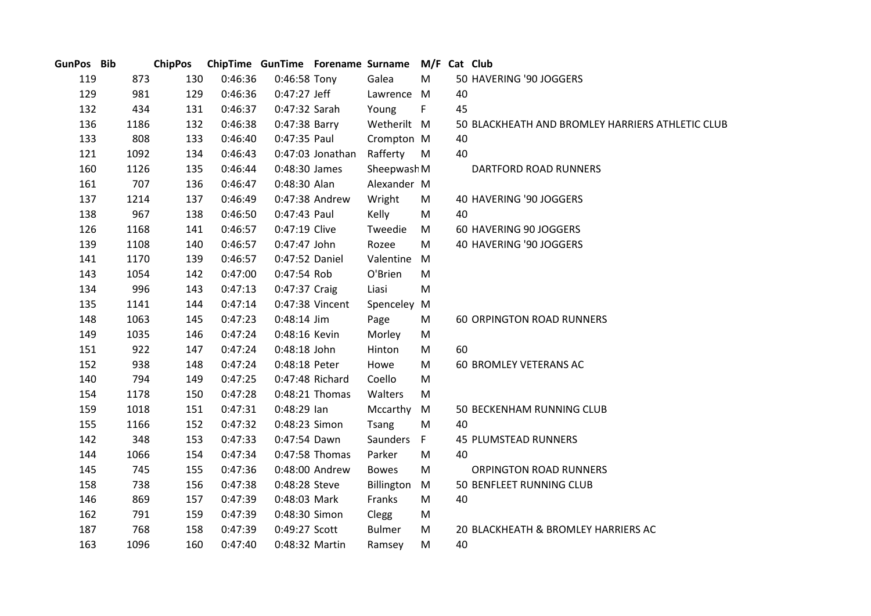| GunPos Bib |      |     | ChipPos ChipTime GunTime Forename Surname M/F Cat Club |                |                    |               |    |    |                                                  |
|------------|------|-----|--------------------------------------------------------|----------------|--------------------|---------------|----|----|--------------------------------------------------|
| 119        | 873  | 130 | 0:46:36                                                | $0:46:58$ Tony |                    | Galea         | M  |    | 50 HAVERING '90 JOGGERS                          |
| 129        | 981  | 129 | 0:46:36                                                | $0:47:27$ Jeff |                    | Lawrence M    |    | 40 |                                                  |
| 132        | 434  | 131 | 0:46:37                                                | 0:47:32 Sarah  |                    | Young         | F. | 45 |                                                  |
| 136        | 1186 | 132 | 0:46:38                                                | 0:47:38 Barry  |                    | Wetherilt M   |    |    | 50 BLACKHEATH AND BROMLEY HARRIERS ATHLETIC CLUB |
| 133        | 808  | 133 | 0:46:40                                                | 0:47:35 Paul   |                    | Crompton M    |    | 40 |                                                  |
| 121        | 1092 | 134 | 0:46:43                                                |                | $0:47:03$ Jonathan | Rafferty      | M  | 40 |                                                  |
| 160        | 1126 | 135 | 0:46:44                                                | 0:48:30 James  |                    | Sheepwash M   |    |    | DARTFORD ROAD RUNNERS                            |
| 161        | 707  | 136 | 0:46:47                                                | 0:48:30 Alan   |                    | Alexander M   |    |    |                                                  |
| 137        | 1214 | 137 | 0:46:49                                                |                | 0:47:38 Andrew     | Wright        | M  |    | 40 HAVERING '90 JOGGERS                          |
| 138        | 967  | 138 | 0:46:50                                                | 0:47:43 Paul   |                    | Kelly         | M  | 40 |                                                  |
| 126        | 1168 | 141 | 0:46:57                                                | 0:47:19 Clive  |                    | Tweedie       | M  |    | 60 HAVERING 90 JOGGERS                           |
| 139        | 1108 | 140 | 0:46:57                                                | 0:47:47 John   |                    | Rozee         | M  |    | 40 HAVERING '90 JOGGERS                          |
| 141        | 1170 | 139 | 0:46:57                                                | 0:47:52 Daniel |                    | Valentine     | M  |    |                                                  |
| 143        | 1054 | 142 | 0:47:00                                                | 0:47:54 Rob    |                    | O'Brien       | M  |    |                                                  |
| 134        | 996  | 143 | 0:47:13                                                | 0:47:37 Craig  |                    | Liasi         | M  |    |                                                  |
| 135        | 1141 | 144 | 0:47:14                                                |                | 0:47:38 Vincent    | Spenceley     | M  |    |                                                  |
| 148        | 1063 | 145 | 0:47:23                                                | $0:48:14$ Jim  |                    | Page          | M  |    | <b>60 ORPINGTON ROAD RUNNERS</b>                 |
| 149        | 1035 | 146 | 0:47:24                                                | 0:48:16 Kevin  |                    | Morley        | M  |    |                                                  |
| 151        | 922  | 147 | 0:47:24                                                | 0:48:18 John   |                    | Hinton        | M  | 60 |                                                  |
| 152        | 938  | 148 | 0:47:24                                                | 0:48:18 Peter  |                    | Howe          | M  |    | <b>60 BROMLEY VETERANS AC</b>                    |
| 140        | 794  | 149 | 0:47:25                                                |                | 0:47:48 Richard    | Coello        | M  |    |                                                  |
| 154        | 1178 | 150 | 0:47:28                                                |                | 0:48:21 Thomas     | Walters       | M  |    |                                                  |
| 159        | 1018 | 151 | 0:47:31                                                | $0:48:29$ lan  |                    | Mccarthy      | M  |    | 50 BECKENHAM RUNNING CLUB                        |
| 155        | 1166 | 152 | 0:47:32                                                | 0:48:23 Simon  |                    | Tsang         | M  | 40 |                                                  |
| 142        | 348  | 153 | 0:47:33                                                | 0:47:54 Dawn   |                    | Saunders F    |    |    | 45 PLUMSTEAD RUNNERS                             |
| 144        | 1066 | 154 | 0:47:34                                                |                | 0:47:58 Thomas     | Parker        | M  | 40 |                                                  |
| 145        | 745  | 155 | 0:47:36                                                |                | 0:48:00 Andrew     | <b>Bowes</b>  | M  |    | ORPINGTON ROAD RUNNERS                           |
| 158        | 738  | 156 | 0:47:38                                                | 0:48:28 Steve  |                    | Billington    | M  |    | 50 BENFLEET RUNNING CLUB                         |
| 146        | 869  | 157 | 0:47:39                                                | 0:48:03 Mark   |                    | Franks        | M  | 40 |                                                  |
| 162        | 791  | 159 | 0:47:39                                                | 0:48:30 Simon  |                    | Clegg         | M  |    |                                                  |
| 187        | 768  | 158 | 0:47:39                                                | 0:49:27 Scott  |                    | <b>Bulmer</b> | M  |    | 20 BLACKHEATH & BROMLEY HARRIERS AC              |
| 163        | 1096 | 160 | 0:47:40                                                | 0:48:32 Martin |                    | Ramsey        | M  | 40 |                                                  |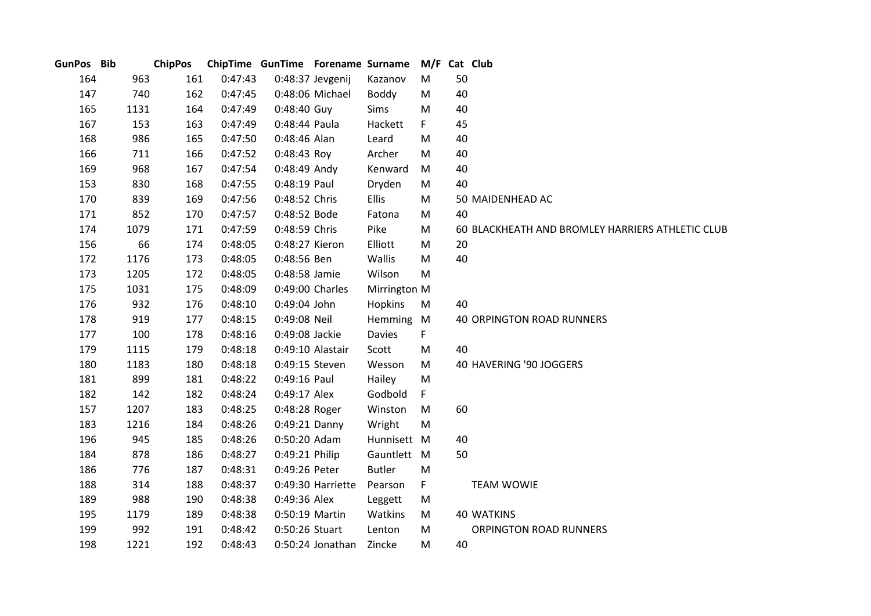| GunPos Bib |      | <b>ChipPos</b> |         | ChipTime GunTime Forename Surname |                   |               | M/F Cat Club |    |                                                  |
|------------|------|----------------|---------|-----------------------------------|-------------------|---------------|--------------|----|--------------------------------------------------|
| 164        | 963  | 161            | 0:47:43 |                                   | 0:48:37 Jevgenij  | Kazanov       | M            | 50 |                                                  |
| 147        | 740  | 162            | 0:47:45 |                                   | 0:48:06 Michael   | Boddy         | M            | 40 |                                                  |
| 165        | 1131 | 164            | 0:47:49 | 0:48:40 Guy                       |                   | Sims          | M            | 40 |                                                  |
| 167        | 153  | 163            | 0:47:49 | 0:48:44 Paula                     |                   | Hackett       | F.           | 45 |                                                  |
| 168        | 986  | 165            | 0:47:50 | 0:48:46 Alan                      |                   | Leard         | M            | 40 |                                                  |
| 166        | 711  | 166            | 0:47:52 | 0:48:43 Roy                       |                   | Archer        | M            | 40 |                                                  |
| 169        | 968  | 167            | 0:47:54 | 0:48:49 Andy                      |                   | Kenward       | M            | 40 |                                                  |
| 153        | 830  | 168            | 0:47:55 | 0:48:19 Paul                      |                   | Dryden        | M            | 40 |                                                  |
| 170        | 839  | 169            | 0:47:56 | 0:48:52 Chris                     |                   | <b>Ellis</b>  | M            |    | 50 MAIDENHEAD AC                                 |
| 171        | 852  | 170            | 0:47:57 | 0:48:52 Bode                      |                   | Fatona        | M            | 40 |                                                  |
| 174        | 1079 | 171            | 0:47:59 | 0:48:59 Chris                     |                   | Pike          | M            |    | 60 BLACKHEATH AND BROMLEY HARRIERS ATHLETIC CLUB |
| 156        | 66   | 174            | 0:48:05 | 0:48:27 Kieron                    |                   | Elliott       | M            | 20 |                                                  |
| 172        | 1176 | 173            | 0:48:05 | 0:48:56 Ben                       |                   | Wallis        | M            | 40 |                                                  |
| 173        | 1205 | 172            | 0:48:05 | 0:48:58 Jamie                     |                   | Wilson        | M            |    |                                                  |
| 175        | 1031 | 175            | 0:48:09 |                                   | 0:49:00 Charles   | Mirrington M  |              |    |                                                  |
| 176        | 932  | 176            | 0:48:10 | 0:49:04 John                      |                   | Hopkins       | M            | 40 |                                                  |
| 178        | 919  | 177            | 0:48:15 | 0:49:08 Neil                      |                   | Hemming M     |              |    | 40 ORPINGTON ROAD RUNNERS                        |
| 177        | 100  | 178            | 0:48:16 | 0:49:08 Jackie                    |                   | Davies        | F.           |    |                                                  |
| 179        | 1115 | 179            | 0:48:18 |                                   | 0:49:10 Alastair  | Scott         | M            | 40 |                                                  |
| 180        | 1183 | 180            | 0:48:18 | 0:49:15 Steven                    |                   | Wesson        | M            |    | 40 HAVERING '90 JOGGERS                          |
| 181        | 899  | 181            | 0:48:22 | 0:49:16 Paul                      |                   | Hailey        | M            |    |                                                  |
| 182        | 142  | 182            | 0:48:24 | 0:49:17 Alex                      |                   | Godbold       | F.           |    |                                                  |
| 157        | 1207 | 183            | 0:48:25 | 0:48:28 Roger                     |                   | Winston       | M            | 60 |                                                  |
| 183        | 1216 | 184            | 0:48:26 | 0:49:21 Danny                     |                   | Wright        | M            |    |                                                  |
| 196        | 945  | 185            | 0:48:26 | 0:50:20 Adam                      |                   | Hunnisett M   |              | 40 |                                                  |
| 184        | 878  | 186            | 0:48:27 | 0:49:21 Philip                    |                   | Gauntlett M   |              | 50 |                                                  |
| 186        | 776  | 187            | 0:48:31 | 0:49:26 Peter                     |                   | <b>Butler</b> | M            |    |                                                  |
| 188        | 314  | 188            | 0:48:37 |                                   | 0:49:30 Harriette | Pearson       | F.           |    | <b>TEAM WOWIE</b>                                |
| 189        | 988  | 190            | 0:48:38 | 0:49:36 Alex                      |                   | Leggett       | M            |    |                                                  |
| 195        | 1179 | 189            | 0:48:38 | 0:50:19 Martin                    |                   | Watkins       | M            |    | <b>40 WATKINS</b>                                |
| 199        | 992  | 191            | 0:48:42 | 0:50:26 Stuart                    |                   | Lenton        | M            |    | ORPINGTON ROAD RUNNERS                           |
| 198        | 1221 | 192            | 0:48:43 |                                   | 0:50:24 Jonathan  | Zincke        | M            | 40 |                                                  |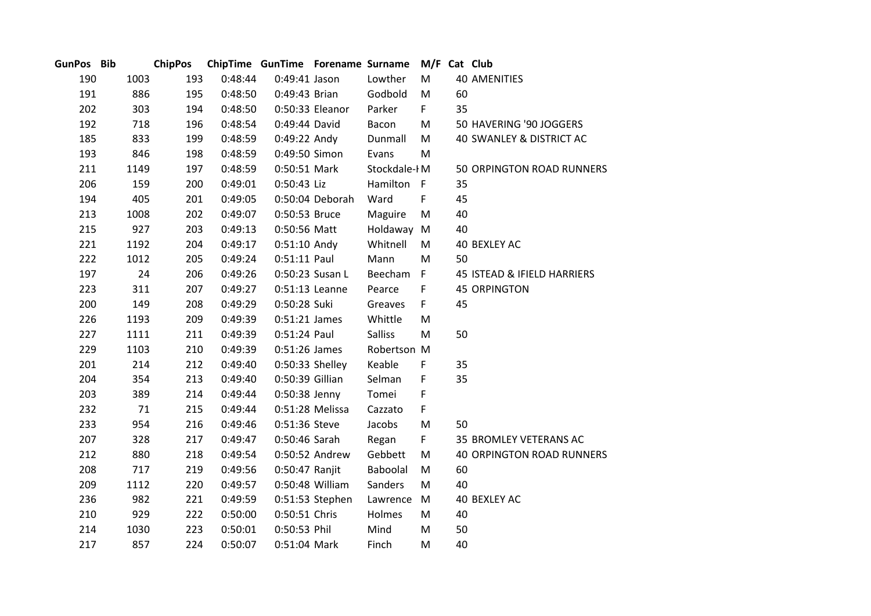| GunPos Bib |      | <b>ChipPos</b> |         | ChipTime GunTime Forename Surname |                 |                | M/F Cat Club |    |                                  |
|------------|------|----------------|---------|-----------------------------------|-----------------|----------------|--------------|----|----------------------------------|
| 190        | 1003 | 193            | 0:48:44 | 0:49:41 Jason                     |                 | Lowther        | M            |    | <b>40 AMENITIES</b>              |
| 191        | 886  | 195            | 0:48:50 | 0:49:43 Brian                     |                 | Godbold        | M            | 60 |                                  |
| 202        | 303  | 194            | 0:48:50 |                                   | 0:50:33 Eleanor | Parker         | F.           | 35 |                                  |
| 192        | 718  | 196            | 0:48:54 | 0:49:44 David                     |                 | Bacon          | M            |    | 50 HAVERING '90 JOGGERS          |
| 185        | 833  | 199            | 0:48:59 | 0:49:22 Andy                      |                 | Dunmall        | M            |    | 40 SWANLEY & DISTRICT AC         |
| 193        | 846  | 198            | 0:48:59 | 0:49:50 Simon                     |                 | Evans          | M            |    |                                  |
| 211        | 1149 | 197            | 0:48:59 | 0:50:51 Mark                      |                 | Stockdale-IM   |              |    | 50 ORPINGTON ROAD RUNNERS        |
| 206        | 159  | 200            | 0:49:01 | 0:50:43 Liz                       |                 | Hamilton F     |              | 35 |                                  |
| 194        | 405  | 201            | 0:49:05 |                                   | 0:50:04 Deborah | Ward           | F            | 45 |                                  |
| 213        | 1008 | 202            | 0:49:07 | 0:50:53 Bruce                     |                 | Maguire        | M            | 40 |                                  |
| 215        | 927  | 203            | 0:49:13 | 0:50:56 Matt                      |                 | Holdaway       | M            | 40 |                                  |
| 221        | 1192 | 204            | 0:49:17 | 0:51:10 Andy                      |                 | Whitnell       | M            |    | <b>40 BEXLEY AC</b>              |
| 222        | 1012 | 205            | 0:49:24 | 0:51:11 Paul                      |                 | Mann           | M            | 50 |                                  |
| 197        | 24   | 206            | 0:49:26 | 0:50:23 Susan L                   |                 | Beecham        | $\mathsf F$  |    | 45 ISTEAD & IFIELD HARRIERS      |
| 223        | 311  | 207            | 0:49:27 | 0:51:13 Leanne                    |                 | Pearce         | F            |    | <b>45 ORPINGTON</b>              |
| 200        | 149  | 208            | 0:49:29 | 0:50:28 Suki                      |                 | Greaves        | F.           | 45 |                                  |
| 226        | 1193 | 209            | 0:49:39 | $0:51:21$ James                   |                 | Whittle        | M            |    |                                  |
| 227        | 1111 | 211            | 0:49:39 | 0:51:24 Paul                      |                 | <b>Salliss</b> | M            | 50 |                                  |
| 229        | 1103 | 210            | 0:49:39 | 0:51:26 James                     |                 | Robertson M    |              |    |                                  |
| 201        | 214  | 212            | 0:49:40 | 0:50:33 Shelley                   |                 | Keable         | F            | 35 |                                  |
| 204        | 354  | 213            | 0:49:40 | 0:50:39 Gillian                   |                 | Selman         | F            | 35 |                                  |
| 203        | 389  | 214            | 0:49:44 | 0:50:38 Jenny                     |                 | Tomei          | F            |    |                                  |
| 232        | 71   | 215            | 0:49:44 |                                   | 0:51:28 Melissa | Cazzato        | F            |    |                                  |
| 233        | 954  | 216            | 0:49:46 | 0:51:36 Steve                     |                 | Jacobs         | M            | 50 |                                  |
| 207        | 328  | 217            | 0:49:47 | 0:50:46 Sarah                     |                 | Regan          | F            |    | 35 BROMLEY VETERANS AC           |
| 212        | 880  | 218            | 0:49:54 |                                   | 0:50:52 Andrew  | Gebbett        | M            |    | <b>40 ORPINGTON ROAD RUNNERS</b> |
| 208        | 717  | 219            | 0:49:56 | 0:50:47 Ranjit                    |                 | Baboolal       | M            | 60 |                                  |
| 209        | 1112 | 220            | 0:49:57 |                                   | 0:50:48 William | Sanders        | M            | 40 |                                  |
| 236        | 982  | 221            | 0:49:59 |                                   | 0:51:53 Stephen | Lawrence       | M            |    | 40 BEXLEY AC                     |
| 210        | 929  | 222            | 0:50:00 | 0:50:51 Chris                     |                 | Holmes         | M            | 40 |                                  |
| 214        | 1030 | 223            | 0:50:01 | 0:50:53 Phil                      |                 | Mind           | M            | 50 |                                  |
| 217        | 857  | 224            | 0:50:07 | 0:51:04 Mark                      |                 | Finch          | M            | 40 |                                  |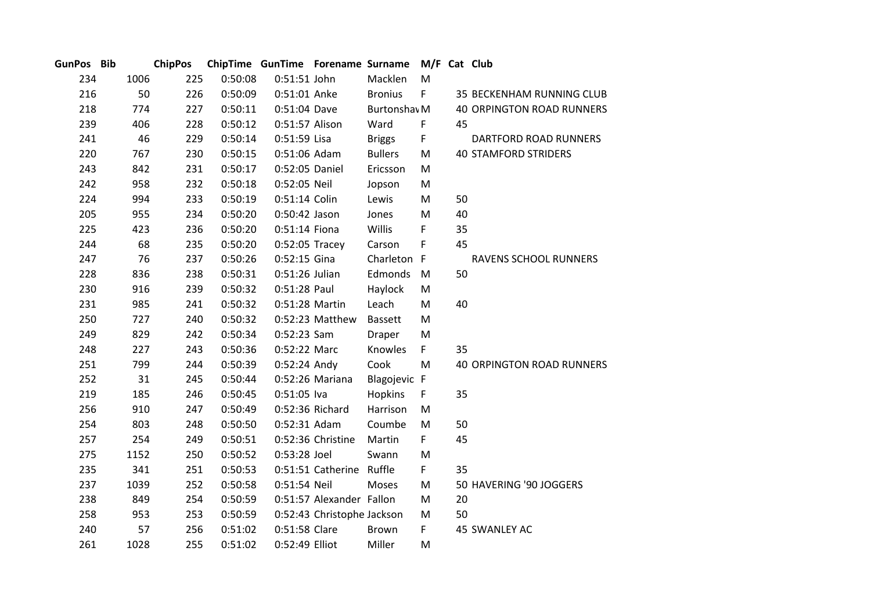| <b>GunPos</b> | <b>Bib</b> |      | <b>ChipPos</b> |         | ChipTime GunTime Forename Surname |                            |                         | M/F Cat Club |    |                                  |
|---------------|------------|------|----------------|---------|-----------------------------------|----------------------------|-------------------------|--------------|----|----------------------------------|
| 234           |            | 1006 | 225            | 0:50:08 | 0:51:51 John                      |                            | Macklen                 | M            |    |                                  |
| 216           |            | 50   | 226            | 0:50:09 | 0:51:01 Anke                      |                            | <b>Bronius</b>          | F            |    | 35 BECKENHAM RUNNING CLUB        |
| 218           |            | 774  | 227            | 0:50:11 | 0:51:04 Dave                      |                            | Burtonshav <sub>M</sub> |              |    | <b>40 ORPINGTON ROAD RUNNERS</b> |
| 239           |            | 406  | 228            | 0:50:12 | 0:51:57 Alison                    |                            | Ward                    | F            | 45 |                                  |
| 241           |            | 46   | 229            | 0:50:14 | 0:51:59 Lisa                      |                            | <b>Briggs</b>           | F            |    | DARTFORD ROAD RUNNERS            |
| 220           |            | 767  | 230            | 0:50:15 | 0:51:06 Adam                      |                            | <b>Bullers</b>          | M            |    | <b>40 STAMFORD STRIDERS</b>      |
| 243           |            | 842  | 231            | 0:50:17 | 0:52:05 Daniel                    |                            | Ericsson                | M            |    |                                  |
| 242           |            | 958  | 232            | 0:50:18 | 0:52:05 Neil                      |                            | Jopson                  | M            |    |                                  |
| 224           |            | 994  | 233            | 0:50:19 | 0:51:14 Colin                     |                            | Lewis                   | M            | 50 |                                  |
| 205           |            | 955  | 234            | 0:50:20 | 0:50:42 Jason                     |                            | Jones                   | M            | 40 |                                  |
| 225           |            | 423  | 236            | 0:50:20 | 0:51:14 Fiona                     |                            | Willis                  | F            | 35 |                                  |
| 244           |            | 68   | 235            | 0:50:20 | 0:52:05 Tracey                    |                            | Carson                  | F            | 45 |                                  |
| 247           |            | 76   | 237            | 0:50:26 | $0:52:15$ Gina                    |                            | Charleton F             |              |    | <b>RAVENS SCHOOL RUNNERS</b>     |
| 228           |            | 836  | 238            | 0:50:31 | 0:51:26 Julian                    |                            | Edmonds                 | M            | 50 |                                  |
| 230           |            | 916  | 239            | 0:50:32 | 0:51:28 Paul                      |                            | Haylock                 | M            |    |                                  |
| 231           |            | 985  | 241            | 0:50:32 | 0:51:28 Martin                    |                            | Leach                   | M            | 40 |                                  |
| 250           |            | 727  | 240            | 0:50:32 |                                   | 0:52:23 Matthew            | <b>Bassett</b>          | M            |    |                                  |
| 249           |            | 829  | 242            | 0:50:34 | 0:52:23 Sam                       |                            | Draper                  | M            |    |                                  |
| 248           |            | 227  | 243            | 0:50:36 | 0:52:22 Marc                      |                            | Knowles                 | F.           | 35 |                                  |
| 251           |            | 799  | 244            | 0:50:39 | 0:52:24 Andy                      |                            | Cook                    | M            |    | <b>40 ORPINGTON ROAD RUNNERS</b> |
| 252           |            | 31   | 245            | 0:50:44 |                                   | 0:52:26 Mariana            | Blagojevic F            |              |    |                                  |
| 219           |            | 185  | 246            | 0:50:45 | $0:51:05$ Iva                     |                            | Hopkins                 | F            | 35 |                                  |
| 256           |            | 910  | 247            | 0:50:49 | 0:52:36 Richard                   |                            | Harrison                | M            |    |                                  |
| 254           |            | 803  | 248            | 0:50:50 | 0:52:31 Adam                      |                            | Coumbe                  | M            | 50 |                                  |
| 257           |            | 254  | 249            | 0:50:51 |                                   | 0:52:36 Christine          | Martin                  | F.           | 45 |                                  |
| 275           |            | 1152 | 250            | 0:50:52 | 0:53:28 Joel                      |                            | Swann                   | M            |    |                                  |
| 235           |            | 341  | 251            | 0:50:53 |                                   | 0:51:51 Catherine Ruffle   |                         | F.           | 35 |                                  |
| 237           |            | 1039 | 252            | 0:50:58 | 0:51:54 Neil                      |                            | Moses                   | M            |    | 50 HAVERING '90 JOGGERS          |
| 238           |            | 849  | 254            | 0:50:59 |                                   | 0:51:57 Alexander Fallon   |                         | M            | 20 |                                  |
| 258           |            | 953  | 253            | 0:50:59 |                                   | 0:52:43 Christophe Jackson |                         | M            | 50 |                                  |
| 240           |            | 57   | 256            | 0:51:02 | 0:51:58 Clare                     |                            | Brown                   | F.           |    | 45 SWANLEY AC                    |
| 261           |            | 1028 | 255            | 0:51:02 | 0:52:49 Elliot                    |                            | Miller                  | M            |    |                                  |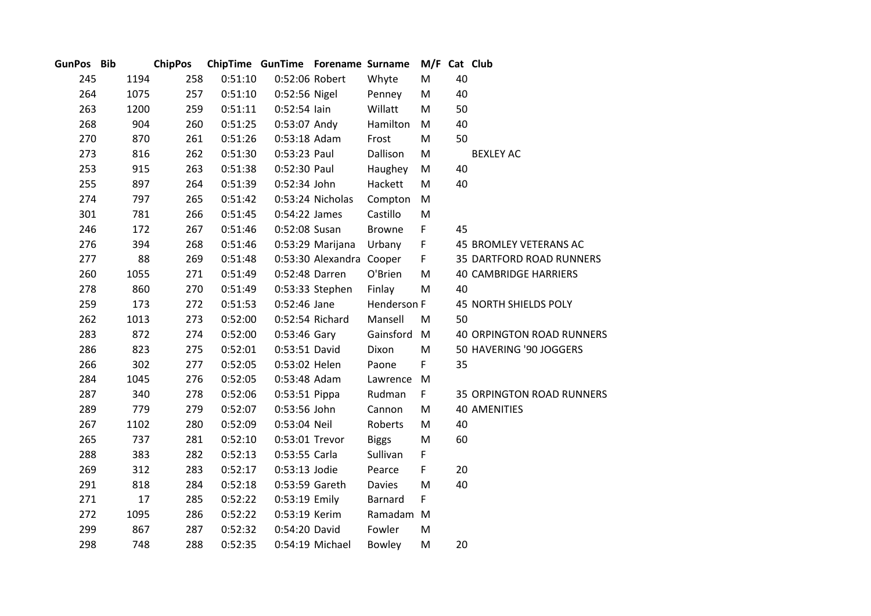| GunPos Bib |      | <b>ChipPos</b> |     |         | ChipTime GunTime Forename Surname |                          |               |    |    | M/F Cat Club                     |
|------------|------|----------------|-----|---------|-----------------------------------|--------------------------|---------------|----|----|----------------------------------|
| 245        | 1194 |                | 258 | 0:51:10 | 0:52:06 Robert                    |                          | Whyte         | M  | 40 |                                  |
| 264        | 1075 |                | 257 | 0:51:10 | 0:52:56 Nigel                     |                          | Penney        | M  | 40 |                                  |
| 263        | 1200 |                | 259 | 0:51:11 | $0:52:54$ lain                    |                          | Willatt       | M  | 50 |                                  |
| 268        |      | 904            | 260 | 0:51:25 | 0:53:07 Andy                      |                          | Hamilton      | M  | 40 |                                  |
| 270        |      | 870            | 261 | 0:51:26 | 0:53:18 Adam                      |                          | Frost         | M  | 50 |                                  |
| 273        |      | 816            | 262 | 0:51:30 | 0:53:23 Paul                      |                          | Dallison      | M  |    | <b>BEXLEY AC</b>                 |
| 253        |      | 915            | 263 | 0:51:38 | 0:52:30 Paul                      |                          | Haughey       | M  | 40 |                                  |
| 255        |      | 897            | 264 | 0:51:39 | 0:52:34 John                      |                          | Hackett       | M  | 40 |                                  |
| 274        |      | 797            | 265 | 0:51:42 |                                   | 0:53:24 Nicholas         | Compton       | M  |    |                                  |
| 301        |      | 781            | 266 | 0:51:45 | 0:54:22 James                     |                          | Castillo      | M  |    |                                  |
| 246        |      | 172            | 267 | 0:51:46 | 0:52:08 Susan                     |                          | <b>Browne</b> | F  | 45 |                                  |
| 276        |      | 394            | 268 | 0:51:46 |                                   | 0:53:29 Marijana         | Urbany        | F  |    | 45 BROMLEY VETERANS AC           |
| 277        |      | 88             | 269 | 0:51:48 |                                   | 0:53:30 Alexandra Cooper |               | F. |    | 35 DARTFORD ROAD RUNNERS         |
| 260        | 1055 |                | 271 | 0:51:49 | 0:52:48 Darren                    |                          | O'Brien       | M  |    | <b>40 CAMBRIDGE HARRIERS</b>     |
| 278        |      | 860            | 270 | 0:51:49 |                                   | 0:53:33 Stephen          | Finlay        | M  | 40 |                                  |
| 259        |      | 173            | 272 | 0:51:53 | 0:52:46 Jane                      |                          | Henderson F   |    |    | 45 NORTH SHIELDS POLY            |
| 262        | 1013 |                | 273 | 0:52:00 |                                   | 0:52:54 Richard          | Mansell       | M  | 50 |                                  |
| 283        |      | 872            | 274 | 0:52:00 | $0:53:46$ Gary                    |                          | Gainsford M   |    |    | <b>40 ORPINGTON ROAD RUNNERS</b> |
| 286        |      | 823            | 275 | 0:52:01 | 0:53:51 David                     |                          | Dixon         | M  |    | 50 HAVERING '90 JOGGERS          |
| 266        |      | 302            | 277 | 0:52:05 | 0:53:02 Helen                     |                          | Paone         | F. | 35 |                                  |
| 284        | 1045 |                | 276 | 0:52:05 | 0:53:48 Adam                      |                          | Lawrence M    |    |    |                                  |
| 287        |      | 340            | 278 | 0:52:06 | 0:53:51 Pippa                     |                          | Rudman        | F. |    | 35 ORPINGTON ROAD RUNNERS        |
| 289        |      | 779            | 279 | 0:52:07 | 0:53:56 John                      |                          | Cannon        | M  |    | <b>40 AMENITIES</b>              |
| 267        | 1102 |                | 280 | 0:52:09 | 0:53:04 Neil                      |                          | Roberts       | M  | 40 |                                  |
| 265        |      | 737            | 281 | 0:52:10 | 0:53:01 Trevor                    |                          | <b>Biggs</b>  | M  | 60 |                                  |
| 288        |      | 383            | 282 | 0:52:13 | 0:53:55 Carla                     |                          | Sullivan      | F  |    |                                  |
| 269        |      | 312            | 283 | 0:52:17 | 0:53:13 Jodie                     |                          | Pearce        | F  | 20 |                                  |
| 291        |      | 818            | 284 | 0:52:18 | 0:53:59 Gareth                    |                          | <b>Davies</b> | M  | 40 |                                  |
| 271        |      | 17             | 285 | 0:52:22 | 0:53:19 Emily                     |                          | Barnard       | F. |    |                                  |
| 272        | 1095 |                | 286 | 0:52:22 | 0:53:19 Kerim                     |                          | Ramadam M     |    |    |                                  |
| 299        |      | 867            | 287 | 0:52:32 | 0:54:20 David                     |                          | Fowler        | M  |    |                                  |
| 298        |      | 748            | 288 | 0:52:35 |                                   | 0:54:19 Michael          | <b>Bowley</b> | M  | 20 |                                  |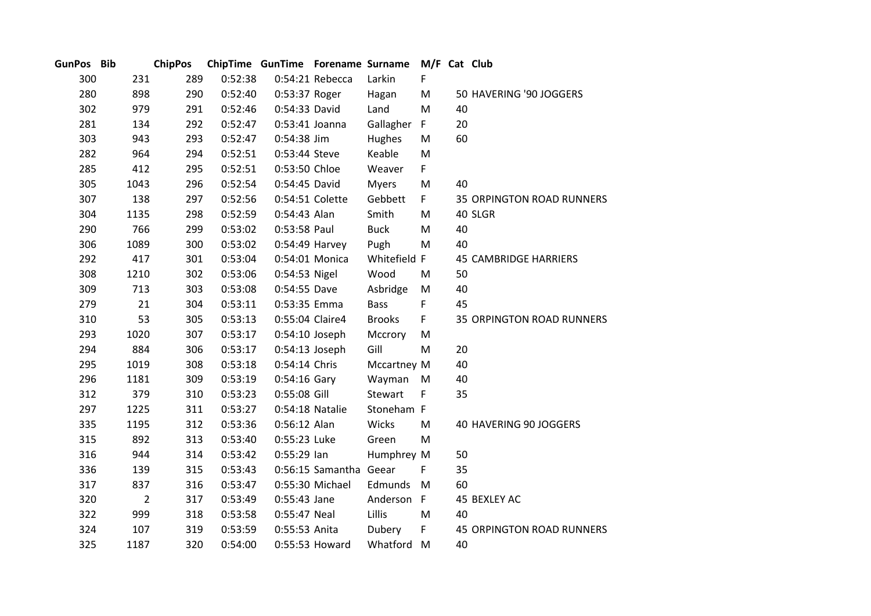| GunPos Bib |                | <b>ChipPos</b> |         | ChipTime GunTime Forename Surname |                        |               | M/F Cat Club |    |                                  |
|------------|----------------|----------------|---------|-----------------------------------|------------------------|---------------|--------------|----|----------------------------------|
| 300        | 231            | 289            | 0:52:38 |                                   | 0:54:21 Rebecca        | Larkin        | F.           |    |                                  |
| 280        | 898            | 290            | 0:52:40 | 0:53:37 Roger                     |                        | Hagan         | M            |    | 50 HAVERING '90 JOGGERS          |
| 302        | 979            | 291            | 0:52:46 | 0:54:33 David                     |                        | Land          | M            | 40 |                                  |
| 281        | 134            | 292            | 0:52:47 | 0:53:41 Joanna                    |                        | Gallagher     | F.           | 20 |                                  |
| 303        | 943            | 293            | 0:52:47 | 0:54:38 Jim                       |                        | Hughes        | M            | 60 |                                  |
| 282        | 964            | 294            | 0:52:51 | 0:53:44 Steve                     |                        | Keable        | M            |    |                                  |
| 285        | 412            | 295            | 0:52:51 | 0:53:50 Chloe                     |                        | Weaver        | F            |    |                                  |
| 305        | 1043           | 296            | 0:52:54 | 0:54:45 David                     |                        | <b>Myers</b>  | M            | 40 |                                  |
| 307        | 138            | 297            | 0:52:56 |                                   | 0:54:51 Colette        | Gebbett       | F.           |    | <b>35 ORPINGTON ROAD RUNNERS</b> |
| 304        | 1135           | 298            | 0:52:59 | 0:54:43 Alan                      |                        | Smith         | M            |    | 40 SLGR                          |
| 290        | 766            | 299            | 0:53:02 | 0:53:58 Paul                      |                        | <b>Buck</b>   | M            | 40 |                                  |
| 306        | 1089           | 300            | 0:53:02 |                                   | $0:54:49$ Harvey       | Pugh          | M            | 40 |                                  |
| 292        | 417            | 301            | 0:53:04 |                                   | 0:54:01 Monica         | Whitefield F  |              |    | <b>45 CAMBRIDGE HARRIERS</b>     |
| 308        | 1210           | 302            | 0:53:06 | 0:54:53 Nigel                     |                        | Wood          | M            | 50 |                                  |
| 309        | 713            | 303            | 0:53:08 | 0:54:55 Dave                      |                        | Asbridge      | M            | 40 |                                  |
| 279        | 21             | 304            | 0:53:11 | 0:53:35 Emma                      |                        | <b>Bass</b>   | F            | 45 |                                  |
| 310        | 53             | 305            | 0:53:13 | 0:55:04 Claire4                   |                        | <b>Brooks</b> | F            |    | <b>35 ORPINGTON ROAD RUNNERS</b> |
| 293        | 1020           | 307            | 0:53:17 | $0:54:10$ Joseph                  |                        | Mccrory       | M            |    |                                  |
| 294        | 884            | 306            | 0:53:17 | $0:54:13$ Joseph                  |                        | Gill          | M            | 20 |                                  |
| 295        | 1019           | 308            | 0:53:18 | 0:54:14 Chris                     |                        | Mccartney M   |              | 40 |                                  |
| 296        | 1181           | 309            | 0:53:19 | 0:54:16 Gary                      |                        | Wayman        | M            | 40 |                                  |
| 312        | 379            | 310            | 0:53:23 | 0:55:08 Gill                      |                        | Stewart       | F            | 35 |                                  |
| 297        | 1225           | 311            | 0:53:27 | 0:54:18 Natalie                   |                        | Stoneham F    |              |    |                                  |
| 335        | 1195           | 312            | 0:53:36 | 0:56:12 Alan                      |                        | Wicks         | M            |    | 40 HAVERING 90 JOGGERS           |
| 315        | 892            | 313            | 0:53:40 | 0:55:23 Luke                      |                        | Green         | M            |    |                                  |
| 316        | 944            | 314            | 0:53:42 | $0:55:29$ lan                     |                        | Humphrey M    |              | 50 |                                  |
| 336        | 139            | 315            | 0:53:43 |                                   | 0:56:15 Samantha Geear |               | F            | 35 |                                  |
| 317        | 837            | 316            | 0:53:47 |                                   | 0:55:30 Michael        | Edmunds       | M            | 60 |                                  |
| 320        | $\overline{2}$ | 317            | 0:53:49 | 0:55:43 Jane                      |                        | Anderson F    |              |    | 45 BEXLEY AC                     |
| 322        | 999            | 318            | 0:53:58 | 0:55:47 Neal                      |                        | Lillis        | M            | 40 |                                  |
| 324        | 107            | 319            | 0:53:59 | 0:55:53 Anita                     |                        | Dubery        | F            |    | <b>45 ORPINGTON ROAD RUNNERS</b> |
| 325        | 1187           | 320            | 0:54:00 |                                   | 0:55:53 Howard         | Whatford      | M            | 40 |                                  |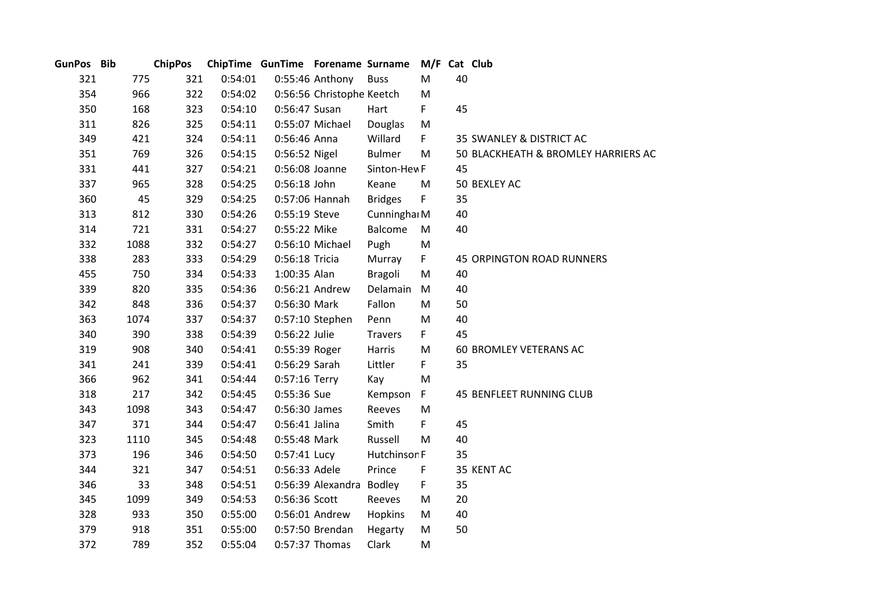| GunPos Bib |      | <b>ChipPos</b> |         | ChipTime GunTime Forename Surname |                           |                | M/F Cat Club |    |                                     |
|------------|------|----------------|---------|-----------------------------------|---------------------------|----------------|--------------|----|-------------------------------------|
| 321        | 775  | 321            | 0:54:01 |                                   | 0:55:46 Anthony           | <b>Buss</b>    | M            | 40 |                                     |
| 354        | 966  | 322            | 0:54:02 |                                   | 0:56:56 Christophe Keetch |                | M            |    |                                     |
| 350        | 168  | 323            | 0:54:10 | 0:56:47 Susan                     |                           | Hart           | F            | 45 |                                     |
| 311        | 826  | 325            | 0:54:11 |                                   | 0:55:07 Michael           | Douglas        | M            |    |                                     |
| 349        | 421  | 324            | 0:54:11 | 0:56:46 Anna                      |                           | Willard        | F.           |    | 35 SWANLEY & DISTRICT AC            |
| 351        | 769  | 326            | 0:54:15 | 0:56:52 Nigel                     |                           | <b>Bulmer</b>  | M            |    | 50 BLACKHEATH & BROMLEY HARRIERS AC |
| 331        | 441  | 327            | 0:54:21 | 0:56:08 Joanne                    |                           | Sinton-Hew F   |              | 45 |                                     |
| 337        | 965  | 328            | 0:54:25 | 0:56:18 John                      |                           | Keane          | M            |    | 50 BEXLEY AC                        |
| 360        | 45   | 329            | 0:54:25 |                                   | 0:57:06 Hannah            | <b>Bridges</b> | F.           | 35 |                                     |
| 313        | 812  | 330            | 0:54:26 | 0:55:19 Steve                     |                           | Cunninghai M   |              | 40 |                                     |
| 314        | 721  | 331            | 0:54:27 | 0:55:22 Mike                      |                           | Balcome        | M            | 40 |                                     |
| 332        | 1088 | 332            | 0:54:27 |                                   | 0:56:10 Michael           | Pugh           | M            |    |                                     |
| 338        | 283  | 333            | 0:54:29 | 0:56:18 Tricia                    |                           | Murray         | F.           |    | <b>45 ORPINGTON ROAD RUNNERS</b>    |
| 455        | 750  | 334            | 0:54:33 | 1:00:35 Alan                      |                           | <b>Bragoli</b> | M            | 40 |                                     |
| 339        | 820  | 335            | 0:54:36 |                                   | 0:56:21 Andrew            | Delamain       | M            | 40 |                                     |
| 342        | 848  | 336            | 0:54:37 | 0:56:30 Mark                      |                           | Fallon         | M            | 50 |                                     |
| 363        | 1074 | 337            | 0:54:37 |                                   | 0:57:10 Stephen           | Penn           | M            | 40 |                                     |
| 340        | 390  | 338            | 0:54:39 | 0:56:22 Julie                     |                           | <b>Travers</b> | F.           | 45 |                                     |
| 319        | 908  | 340            | 0:54:41 | 0:55:39 Roger                     |                           | Harris         | M            |    | 60 BROMLEY VETERANS AC              |
| 341        | 241  | 339            | 0:54:41 | 0:56:29 Sarah                     |                           | Littler        | F.           | 35 |                                     |
| 366        | 962  | 341            | 0:54:44 | 0:57:16 Terry                     |                           | Kay            | M            |    |                                     |
| 318        | 217  | 342            | 0:54:45 | 0:55:36 Sue                       |                           | Kempson        | F.           |    | <b>45 BENFLEET RUNNING CLUB</b>     |
| 343        | 1098 | 343            | 0:54:47 | 0:56:30 James                     |                           | Reeves         | M            |    |                                     |
| 347        | 371  | 344            | 0:54:47 | 0:56:41 Jalina                    |                           | Smith          | F            | 45 |                                     |
| 323        | 1110 | 345            | 0:54:48 | 0:55:48 Mark                      |                           | Russell        | M            | 40 |                                     |
| 373        | 196  | 346            | 0:54:50 | 0:57:41 Lucy                      |                           | Hutchinson F   |              | 35 |                                     |
| 344        | 321  | 347            | 0:54:51 | 0:56:33 Adele                     |                           | Prince         | $\mathsf F$  |    | 35 KENT AC                          |
| 346        | 33   | 348            | 0:54:51 |                                   | 0:56:39 Alexandra Bodley  |                | F.           | 35 |                                     |
| 345        | 1099 | 349            | 0:54:53 | 0:56:36 Scott                     |                           | Reeves         | M            | 20 |                                     |
| 328        | 933  | 350            | 0:55:00 |                                   | 0:56:01 Andrew            | Hopkins        | M            | 40 |                                     |
| 379        | 918  | 351            | 0:55:00 |                                   | 0:57:50 Brendan           | Hegarty        | M            | 50 |                                     |
| 372        | 789  | 352            | 0:55:04 |                                   | 0:57:37 Thomas            | Clark          | M            |    |                                     |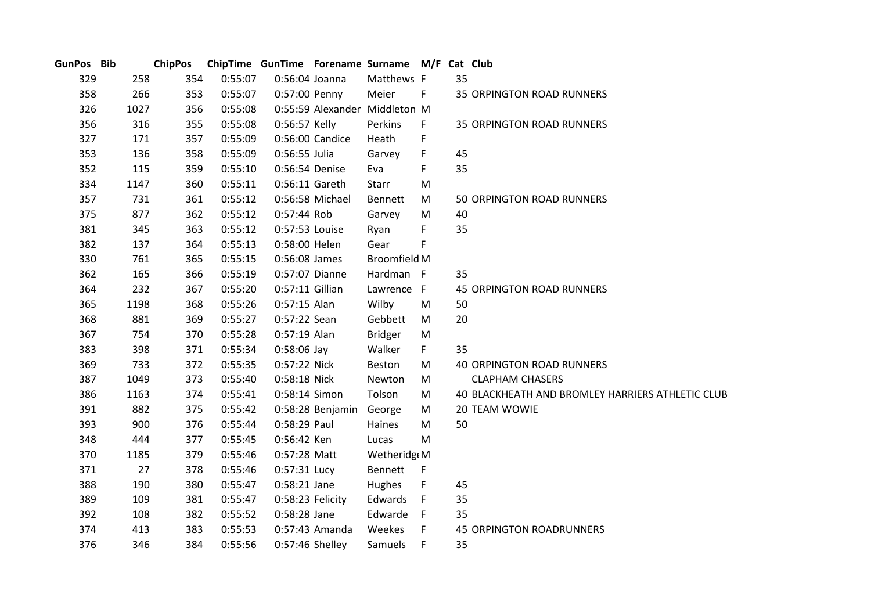| GunPos Bib |      | <b>ChipPos</b> |         | ChipTime GunTime Forename Surname M/F Cat Club |                         |                               |      |    |                                                  |
|------------|------|----------------|---------|------------------------------------------------|-------------------------|-------------------------------|------|----|--------------------------------------------------|
| 329        | 258  | 354            | 0:55:07 | 0:56:04 Joanna                                 |                         | Matthews F                    |      | 35 |                                                  |
| 358        | 266  | 353            | 0:55:07 | 0:57:00 Penny                                  |                         | Meier                         | F    |    | <b>35 ORPINGTON ROAD RUNNERS</b>                 |
| 326        | 1027 | 356            | 0:55:08 |                                                |                         | 0:55:59 Alexander Middleton M |      |    |                                                  |
| 356        | 316  | 355            | 0:55:08 | 0:56:57 Kelly                                  |                         | Perkins                       | F.   |    | <b>35 ORPINGTON ROAD RUNNERS</b>                 |
| 327        | 171  | 357            | 0:55:09 |                                                | 0:56:00 Candice         | Heath                         | F    |    |                                                  |
| 353        | 136  | 358            | 0:55:09 | 0:56:55 Julia                                  |                         | Garvey                        | F    | 45 |                                                  |
| 352        | 115  | 359            | 0:55:10 | 0:56:54 Denise                                 |                         | Eva                           | F    | 35 |                                                  |
| 334        | 1147 | 360            | 0:55:11 | 0:56:11 Gareth                                 |                         | Starr                         | M    |    |                                                  |
| 357        | 731  | 361            | 0:55:12 |                                                | 0:56:58 Michael         | Bennett                       | M    |    | 50 ORPINGTON ROAD RUNNERS                        |
| 375        | 877  | 362            | 0:55:12 | 0:57:44 Rob                                    |                         | Garvey                        | M    | 40 |                                                  |
| 381        | 345  | 363            | 0:55:12 | 0:57:53 Louise                                 |                         | Ryan                          | F    | 35 |                                                  |
| 382        | 137  | 364            | 0:55:13 | 0:58:00 Helen                                  |                         | Gear                          | F    |    |                                                  |
| 330        | 761  | 365            | 0:55:15 | 0:56:08 James                                  |                         | <b>Broomfield M</b>           |      |    |                                                  |
| 362        | 165  | 366            | 0:55:19 | 0:57:07 Dianne                                 |                         | Hardman F                     |      | 35 |                                                  |
| 364        | 232  | 367            | 0:55:20 | 0:57:11 Gillian                                |                         | Lawrence F                    |      |    | <b>45 ORPINGTON ROAD RUNNERS</b>                 |
| 365        | 1198 | 368            | 0:55:26 | $0:57:15$ Alan                                 |                         | Wilby                         | M    | 50 |                                                  |
| 368        | 881  | 369            | 0:55:27 | 0:57:22 Sean                                   |                         | Gebbett                       | M    | 20 |                                                  |
| 367        | 754  | 370            | 0:55:28 | 0:57:19 Alan                                   |                         | <b>Bridger</b>                | M    |    |                                                  |
| 383        | 398  | 371            | 0:55:34 | $0:58:06$ Jay                                  |                         | Walker                        | F.   | 35 |                                                  |
| 369        | 733  | 372            | 0:55:35 | 0:57:22 Nick                                   |                         | Beston                        | M    |    | <b>40 ORPINGTON ROAD RUNNERS</b>                 |
| 387        | 1049 | 373            | 0:55:40 | 0:58:18 Nick                                   |                         | Newton                        | M    |    | <b>CLAPHAM CHASERS</b>                           |
| 386        | 1163 | 374            | 0:55:41 | 0:58:14 Simon                                  |                         | Tolson                        | M    |    | 40 BLACKHEATH AND BROMLEY HARRIERS ATHLETIC CLUB |
| 391        | 882  | 375            | 0:55:42 |                                                | 0:58:28 Benjamin George |                               | M    |    | 20 TEAM WOWIE                                    |
| 393        | 900  | 376            | 0:55:44 | 0:58:29 Paul                                   |                         | Haines                        | M    | 50 |                                                  |
| 348        | 444  | 377            | 0:55:45 | 0:56:42 Ken                                    |                         | Lucas                         | M    |    |                                                  |
| 370        | 1185 | 379            | 0:55:46 | 0:57:28 Matt                                   |                         | Wetheridg M                   |      |    |                                                  |
| 371        | 27   | 378            | 0:55:46 | 0:57:31 Lucy                                   |                         | Bennett F                     |      |    |                                                  |
| 388        | 190  | 380            | 0:55:47 | 0:58:21 Jane                                   |                         | Hughes                        | F    | 45 |                                                  |
| 389        | 109  | 381            | 0:55:47 | 0:58:23 Felicity                               |                         | Edwards                       | $-F$ | 35 |                                                  |
| 392        | 108  | 382            | 0:55:52 | 0:58:28 Jane                                   |                         | Edwarde                       | F    | 35 |                                                  |
| 374        | 413  | 383            | 0:55:53 |                                                | 0:57:43 Amanda          | Weekes                        | F    |    | <b>45 ORPINGTON ROADRUNNERS</b>                  |
| 376        | 346  | 384            | 0:55:56 | 0:57:46 Shelley                                |                         | Samuels                       | F    | 35 |                                                  |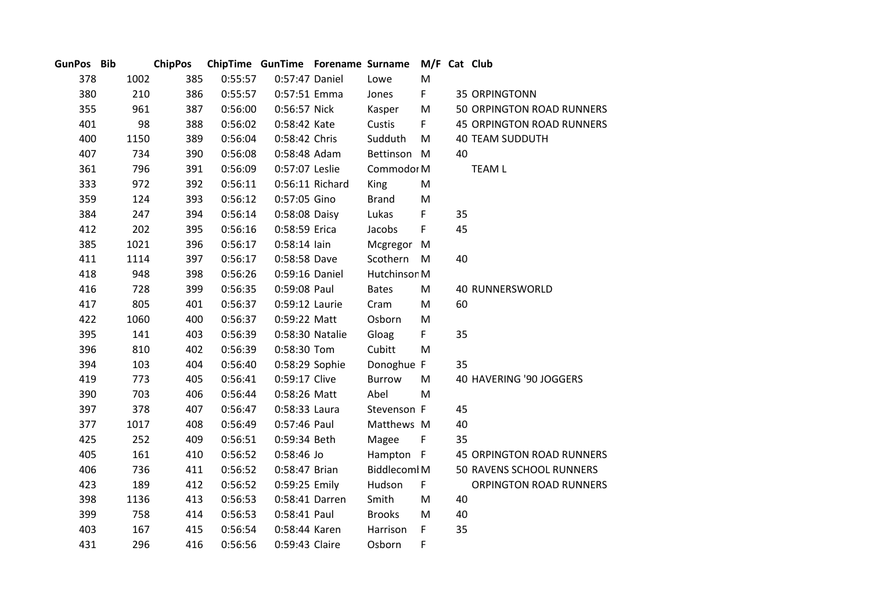| GunPos Bib |      | <b>ChipPos</b> |         |                 |                 | ChipTime GunTime Forename Surname M/F Cat Club |              |    |                                  |
|------------|------|----------------|---------|-----------------|-----------------|------------------------------------------------|--------------|----|----------------------------------|
| 378        | 1002 | 385            | 0:55:57 | 0:57:47 Daniel  |                 | Lowe                                           | M            |    |                                  |
| 380        | 210  | 386            | 0:55:57 | 0:57:51 Emma    |                 | Jones                                          | F.           |    | <b>35 ORPINGTONN</b>             |
| 355        | 961  | 387            | 0:56:00 | 0:56:57 Nick    |                 | Kasper                                         | M            |    | 50 ORPINGTON ROAD RUNNERS        |
| 401        | 98   | 388            | 0:56:02 | 0:58:42 Kate    |                 | Custis                                         | F.           |    | <b>45 ORPINGTON ROAD RUNNERS</b> |
| 400        | 1150 | 389            | 0:56:04 | 0:58:42 Chris   |                 | Sudduth                                        | M            |    | <b>40 TEAM SUDDUTH</b>           |
| 407        | 734  | 390            | 0:56:08 | 0:58:48 Adam    |                 | Bettinson M                                    |              | 40 |                                  |
| 361        | 796  | 391            | 0:56:09 | 0:57:07 Leslie  |                 | Commodor M                                     |              |    | <b>TEAM L</b>                    |
| 333        | 972  | 392            | 0:56:11 |                 | 0:56:11 Richard | <b>King</b>                                    | M            |    |                                  |
| 359        | 124  | 393            | 0:56:12 | 0:57:05 Gino    |                 | <b>Brand</b>                                   | M            |    |                                  |
| 384        | 247  | 394            | 0:56:14 | 0:58:08 Daisy   |                 | Lukas                                          | F            | 35 |                                  |
| 412        | 202  | 395            | 0:56:16 | 0:58:59 Erica   |                 | Jacobs                                         | F.           | 45 |                                  |
| 385        | 1021 | 396            | 0:56:17 | $0:58:14$ lain  |                 | Mcgregor M                                     |              |    |                                  |
| 411        | 1114 | 397            | 0:56:17 | 0:58:58 Dave    |                 | Scothern                                       | M            | 40 |                                  |
| 418        | 948  | 398            | 0:56:26 | 0:59:16 Daniel  |                 | Hutchinson M                                   |              |    |                                  |
| 416        | 728  | 399            | 0:56:35 | 0:59:08 Paul    |                 | <b>Bates</b>                                   | M            |    | <b>40 RUNNERSWORLD</b>           |
| 417        | 805  | 401            | 0:56:37 | 0:59:12 Laurie  |                 | Cram                                           | M            | 60 |                                  |
| 422        | 1060 | 400            | 0:56:37 | 0:59:22 Matt    |                 | Osborn                                         | M            |    |                                  |
| 395        | 141  | 403            | 0:56:39 | 0:58:30 Natalie |                 | Gloag                                          | F            | 35 |                                  |
| 396        | 810  | 402            | 0:56:39 | 0:58:30 Tom     |                 | Cubitt                                         | M            |    |                                  |
| 394        | 103  | 404            | 0:56:40 | 0:58:29 Sophie  |                 | Donoghue F                                     |              | 35 |                                  |
| 419        | 773  | 405            | 0:56:41 | 0:59:17 Clive   |                 | <b>Burrow</b>                                  | M            |    | 40 HAVERING '90 JOGGERS          |
| 390        | 703  | 406            | 0:56:44 | 0:58:26 Matt    |                 | Abel                                           | M            |    |                                  |
| 397        | 378  | 407            | 0:56:47 | 0:58:33 Laura   |                 | Stevenson F                                    |              | 45 |                                  |
| 377        | 1017 | 408            | 0:56:49 | 0:57:46 Paul    |                 | Matthews M                                     |              | 40 |                                  |
| 425        | 252  | 409            | 0:56:51 | 0:59:34 Beth    |                 | Magee                                          | $\mathsf{F}$ | 35 |                                  |
| 405        | 161  | 410            | 0:56:52 | 0:58:46 Jo      |                 | Hampton F                                      |              |    | <b>45 ORPINGTON ROAD RUNNERS</b> |
| 406        | 736  | 411            | 0:56:52 | 0:58:47 Brian   |                 | <b>Biddlecoml M</b>                            |              |    | 50 RAVENS SCHOOL RUNNERS         |
| 423        | 189  | 412            | 0:56:52 | 0:59:25 Emily   |                 | Hudson                                         | F.           |    | ORPINGTON ROAD RUNNERS           |
| 398        | 1136 | 413            | 0:56:53 | 0:58:41 Darren  |                 | Smith                                          | M            | 40 |                                  |
| 399        | 758  | 414            | 0:56:53 | 0:58:41 Paul    |                 | <b>Brooks</b>                                  | M            | 40 |                                  |
| 403        | 167  | 415            | 0:56:54 | 0:58:44 Karen   |                 | Harrison                                       | F.           | 35 |                                  |
| 431        | 296  | 416            | 0:56:56 | 0:59:43 Claire  |                 | Osborn                                         | F            |    |                                  |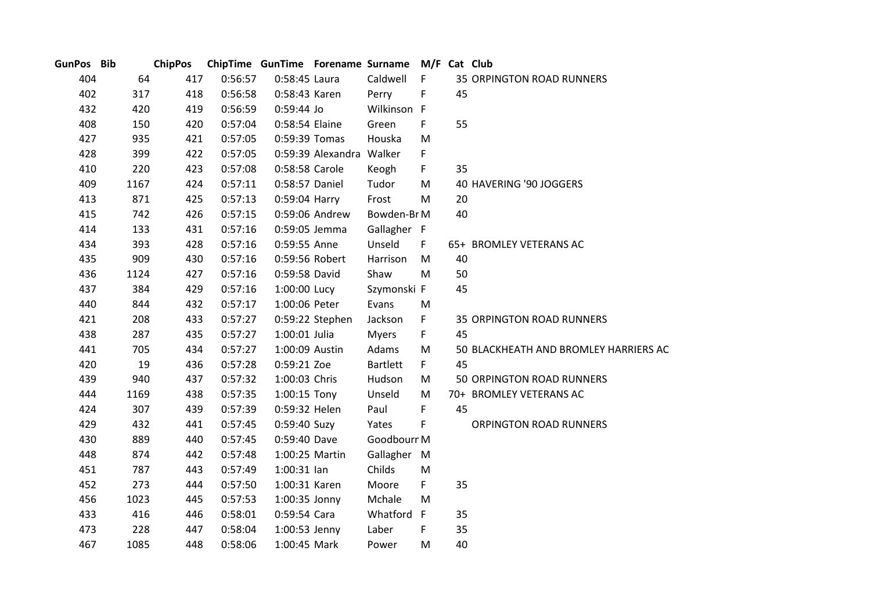| GunPos Bib |      | <b>ChipPos</b> |         | ChipTime GunTime Forename Surname M/F Cat Club |                          |                 |    |    |                                       |
|------------|------|----------------|---------|------------------------------------------------|--------------------------|-----------------|----|----|---------------------------------------|
| 404        | 64   | 417            | 0:56:57 | 0:58:45 Laura                                  |                          | Caldwell        | F  |    | <b>35 ORPINGTON ROAD RUNNERS</b>      |
| 402        | 317  | 418            | 0:56:58 | 0:58:43 Karen                                  |                          | Perry           | F  | 45 |                                       |
| 432        | 420  | 419            | 0:56:59 | 0:59:44 Jo                                     |                          | Wilkinson F     |    |    |                                       |
| 408        | 150  | 420            | 0:57:04 | 0:58:54 Elaine                                 |                          | Green           | F  | 55 |                                       |
| 427        | 935  | 421            | 0:57:05 | 0:59:39 Tomas                                  |                          | Houska          | M  |    |                                       |
| 428        | 399  | 422            | 0:57:05 |                                                | 0:59:39 Alexandra Walker |                 | F  |    |                                       |
| 410        | 220  | 423            | 0:57:08 | 0:58:58 Carole                                 |                          | Keogh           | F. | 35 |                                       |
| 409        | 1167 | 424            | 0:57:11 | 0:58:57 Daniel                                 |                          | Tudor           | M  |    | 40 HAVERING '90 JOGGERS               |
| 413        | 871  | 425            | 0:57:13 | 0:59:04 Harry                                  |                          | Frost           | M  | 20 |                                       |
| 415        | 742  | 426            | 0:57:15 |                                                | 0:59:06 Andrew           | Bowden-Br M     |    | 40 |                                       |
| 414        | 133  | 431            | 0:57:16 | 0:59:05 Jemma                                  |                          | Gallagher F     |    |    |                                       |
| 434        | 393  | 428            | 0:57:16 | 0:59:55 Anne                                   |                          | Unseld          | F. |    | 65+ BROMLEY VETERANS AC               |
| 435        | 909  | 430            | 0:57:16 | 0:59:56 Robert                                 |                          | Harrison        | M  | 40 |                                       |
| 436        | 1124 | 427            | 0:57:16 | 0:59:58 David                                  |                          | Shaw            | M  | 50 |                                       |
| 437        | 384  | 429            | 0:57:16 | 1:00:00 Lucy                                   |                          | Szymonski F     |    | 45 |                                       |
| 440        | 844  | 432            | 0:57:17 | 1:00:06 Peter                                  |                          | Evans           | M  |    |                                       |
| 421        | 208  | 433            | 0:57:27 |                                                | 0:59:22 Stephen          | Jackson         | F. |    | <b>35 ORPINGTON ROAD RUNNERS</b>      |
| 438        | 287  | 435            | 0:57:27 | 1:00:01 Julia                                  |                          | <b>Myers</b>    | F. | 45 |                                       |
| 441        | 705  | 434            | 0:57:27 | 1:00:09 Austin                                 |                          | Adams           | M  |    | 50 BLACKHEATH AND BROMLEY HARRIERS AC |
| 420        | 19   | 436            | 0:57:28 | 0:59:21 Zoe                                    |                          | <b>Bartlett</b> | F. | 45 |                                       |
| 439        | 940  | 437            | 0:57:32 | 1:00:03 Chris                                  |                          | Hudson          | M  |    | 50 ORPINGTON ROAD RUNNERS             |
| 444        | 1169 | 438            | 0:57:35 | 1:00:15 Tony                                   |                          | Unseld          | M  |    | 70+ BROMLEY VETERANS AC               |
| 424        | 307  | 439            | 0:57:39 | 0:59:32 Helen                                  |                          | Paul            | F. | 45 |                                       |
| 429        | 432  | 441            | 0:57:45 | 0:59:40 Suzy                                   |                          | Yates           | F  |    | <b>ORPINGTON ROAD RUNNERS</b>         |
| 430        | 889  | 440            | 0:57:45 | 0:59:40 Dave                                   |                          | Goodbourr M     |    |    |                                       |
| 448        | 874  | 442            | 0:57:48 | 1:00:25 Martin                                 |                          | Gallagher M     |    |    |                                       |
| 451        | 787  | 443            | 0:57:49 | $1:00:31$ lan                                  |                          | Childs          | M  |    |                                       |
| 452        | 273  | 444            | 0:57:50 | 1:00:31 Karen                                  |                          | Moore           | F. | 35 |                                       |
| 456        | 1023 | 445            | 0:57:53 | 1:00:35 Jonny                                  |                          | Mchale          | M  |    |                                       |
| 433        | 416  | 446            | 0:58:01 | 0:59:54 Cara                                   |                          | Whatford F      |    | 35 |                                       |
| 473        | 228  | 447            | 0:58:04 | 1:00:53 Jenny                                  |                          | Laber           | F  | 35 |                                       |
| 467        | 1085 | 448            | 0:58:06 | 1:00:45 Mark                                   |                          | Power           | M  | 40 |                                       |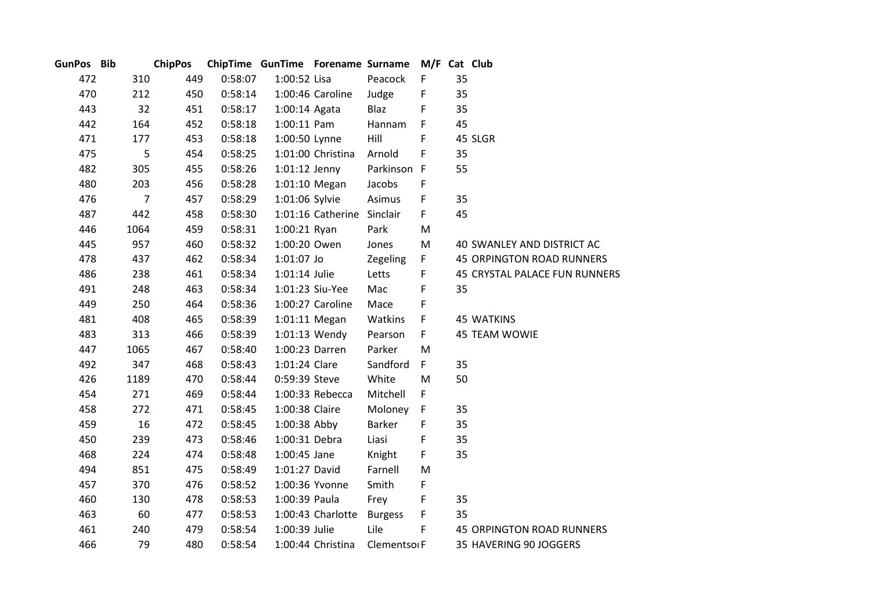| GunPos Bib |                | <b>ChipPos</b> |         | ChipTime GunTime Forename Surname |                            |                          | M/F Cat Club |    |                                  |
|------------|----------------|----------------|---------|-----------------------------------|----------------------------|--------------------------|--------------|----|----------------------------------|
| 472        | 310            | 449            | 0:58:07 | 1:00:52 Lisa                      |                            | Peacock                  | F            | 35 |                                  |
| 470        | 212            | 450            | 0:58:14 |                                   | 1:00:46 Caroline           | Judge                    | F            | 35 |                                  |
| 443        | 32             | 451            | 0:58:17 | 1:00:14 Agata                     |                            | Blaz                     | F            | 35 |                                  |
| 442        | 164            | 452            | 0:58:18 | $1:00:11$ Pam                     |                            | Hannam                   | F            | 45 |                                  |
| 471        | 177            | 453            | 0:58:18 | 1:00:50 Lynne                     |                            | Hill                     | F            |    | 45 SLGR                          |
| 475        | 5              | 454            | 0:58:25 |                                   | 1:01:00 Christina          | Arnold                   | F            | 35 |                                  |
| 482        | 305            | 455            | 0:58:26 | $1:01:12$ Jenny                   |                            | Parkinson F              |              | 55 |                                  |
| 480        | 203            | 456            | 0:58:28 |                                   | 1:01:10 Megan              | Jacobs                   | F            |    |                                  |
| 476        | $\overline{7}$ | 457            | 0:58:29 | 1:01:06 Sylvie                    |                            | Asimus                   | F            | 35 |                                  |
| 487        | 442            | 458            | 0:58:30 |                                   | 1:01:16 Catherine Sinclair |                          | F            | 45 |                                  |
| 446        | 1064           | 459            | 0:58:31 | 1:00:21 Ryan                      |                            | Park                     | M            |    |                                  |
| 445        | 957            | 460            | 0:58:32 | 1:00:20 Owen                      |                            | Jones                    | M            |    | 40 SWANLEY AND DISTRICT AC       |
| 478        | 437            | 462            | 0:58:34 | 1:01:07 Jo                        |                            | Zegeling                 | $\mathsf F$  |    | <b>45 ORPINGTON ROAD RUNNERS</b> |
| 486        | 238            | 461            | 0:58:34 | 1:01:14 Julie                     |                            | Letts                    | F            |    | 45 CRYSTAL PALACE FUN RUNNERS    |
| 491        | 248            | 463            | 0:58:34 |                                   | 1:01:23 Siu-Yee            | Mac                      | F            | 35 |                                  |
| 449        | 250            | 464            | 0:58:36 |                                   | 1:00:27 Caroline           | Mace                     | F            |    |                                  |
| 481        | 408            | 465            | 0:58:39 |                                   | 1:01:11 Megan              | Watkins                  | F            |    | <b>45 WATKINS</b>                |
| 483        | 313            | 466            | 0:58:39 |                                   | 1:01:13 Wendy              | Pearson                  | F            |    | 45 TEAM WOWIE                    |
| 447        | 1065           | 467            | 0:58:40 | 1:00:23 Darren                    |                            | Parker                   | M            |    |                                  |
| 492        | 347            | 468            | 0:58:43 | 1:01:24 Clare                     |                            | Sandford                 | F            | 35 |                                  |
| 426        | 1189           | 470            | 0:58:44 | 0:59:39 Steve                     |                            | White                    | M            | 50 |                                  |
| 454        | 271            | 469            | 0:58:44 |                                   | 1:00:33 Rebecca            | Mitchell                 | F            |    |                                  |
| 458        | 272            | 471            | 0:58:45 | 1:00:38 Claire                    |                            | Moloney                  | F            | 35 |                                  |
| 459        | 16             | 472            | 0:58:45 | 1:00:38 Abby                      |                            | <b>Barker</b>            | F            | 35 |                                  |
| 450        | 239            | 473            | 0:58:46 | 1:00:31 Debra                     |                            | Liasi                    | F            | 35 |                                  |
| 468        | 224            | 474            | 0:58:48 | 1:00:45 Jane                      |                            | Knight                   | F            | 35 |                                  |
| 494        | 851            | 475            | 0:58:49 | 1:01:27 David                     |                            | Farnell                  | M            |    |                                  |
| 457        | 370            | 476            | 0:58:52 |                                   | 1:00:36 Yvonne             | Smith                    | F            |    |                                  |
| 460        | 130            | 478            | 0:58:53 | 1:00:39 Paula                     |                            | Frey                     | F            | 35 |                                  |
| 463        | 60             | 477            | 0:58:53 |                                   | 1:00:43 Charlotte          | <b>Burgess</b>           | F            | 35 |                                  |
| 461        | 240            | 479            | 0:58:54 | 1:00:39 Julie                     |                            | Lile                     | F            |    | 45 ORPINGTON ROAD RUNNERS        |
| 466        | 79             | 480            | 0:58:54 |                                   | 1:00:44 Christina          | Clementso <sub>I</sub> F |              |    | 35 HAVERING 90 JOGGERS           |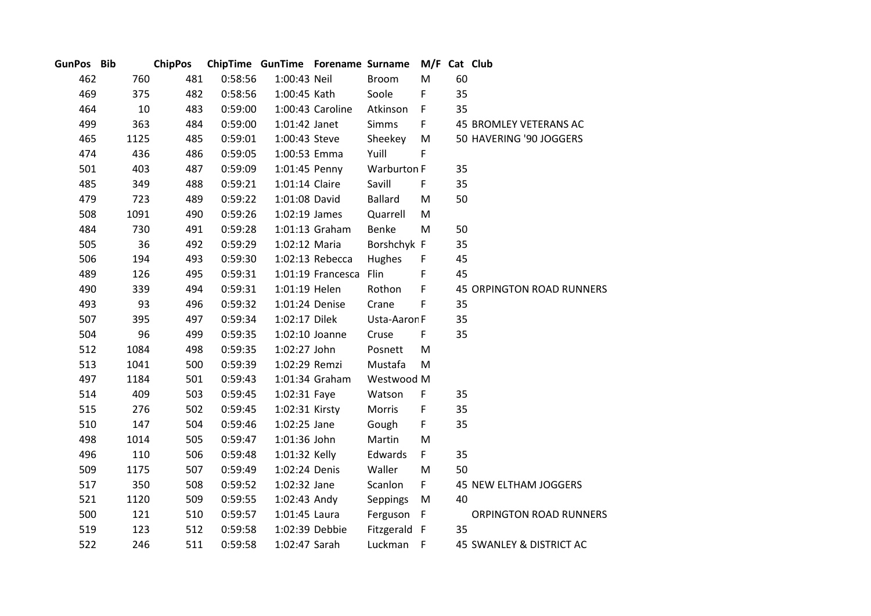| GunPos Bib |      | <b>ChipPos</b> |         | ChipTime GunTime Forename Surname |                   |                | M/F Cat Club |    |                           |
|------------|------|----------------|---------|-----------------------------------|-------------------|----------------|--------------|----|---------------------------|
| 462        | 760  | 481            | 0:58:56 | 1:00:43 Neil                      |                   | <b>Broom</b>   | M            | 60 |                           |
| 469        | 375  | 482            | 0:58:56 | 1:00:45 Kath                      |                   | Soole          | F            | 35 |                           |
| 464        | 10   | 483            | 0:59:00 |                                   | 1:00:43 Caroline  | Atkinson       | F            | 35 |                           |
| 499        | 363  | 484            | 0:59:00 | 1:01:42 Janet                     |                   | <b>Simms</b>   | F.           |    | 45 BROMLEY VETERANS AC    |
| 465        | 1125 | 485            | 0:59:01 | 1:00:43 Steve                     |                   | Sheekey        | M            |    | 50 HAVERING '90 JOGGERS   |
| 474        | 436  | 486            | 0:59:05 | 1:00:53 Emma                      |                   | Yuill          | F            |    |                           |
| 501        | 403  | 487            | 0:59:09 | 1:01:45 Penny                     |                   | Warburton F    |              | 35 |                           |
| 485        | 349  | 488            | 0:59:21 | 1:01:14 Claire                    |                   | Savill         | F.           | 35 |                           |
| 479        | 723  | 489            | 0:59:22 | 1:01:08 David                     |                   | <b>Ballard</b> | M            | 50 |                           |
| 508        | 1091 | 490            | 0:59:26 | 1:02:19 James                     |                   | Quarrell       | M            |    |                           |
| 484        | 730  | 491            | 0:59:28 |                                   | 1:01:13 Graham    | Benke          | M            | 50 |                           |
| 505        | 36   | 492            | 0:59:29 | 1:02:12 Maria                     |                   | Borshchyk F    |              | 35 |                           |
| 506        | 194  | 493            | 0:59:30 |                                   | 1:02:13 Rebecca   | Hughes         | F            | 45 |                           |
| 489        | 126  | 495            | 0:59:31 |                                   | 1:01:19 Francesca | Flin           | F            | 45 |                           |
| 490        | 339  | 494            | 0:59:31 | 1:01:19 Helen                     |                   | Rothon         | F            |    | 45 ORPINGTON ROAD RUNNERS |
| 493        | 93   | 496            | 0:59:32 | 1:01:24 Denise                    |                   | Crane          | F            | 35 |                           |
| 507        | 395  | 497            | 0:59:34 | 1:02:17 Dilek                     |                   | Usta-Aaron F   |              | 35 |                           |
| 504        | 96   | 499            | 0:59:35 | 1:02:10 Joanne                    |                   | Cruse          | F            | 35 |                           |
| 512        | 1084 | 498            | 0:59:35 | 1:02:27 John                      |                   | Posnett        | M            |    |                           |
| 513        | 1041 | 500            | 0:59:39 | 1:02:29 Remzi                     |                   | Mustafa        | M            |    |                           |
| 497        | 1184 | 501            | 0:59:43 |                                   | 1:01:34 Graham    | Westwood M     |              |    |                           |
| 514        | 409  | 503            | 0:59:45 | 1:02:31 Faye                      |                   | Watson         | F            | 35 |                           |
| 515        | 276  | 502            | 0:59:45 | 1:02:31 Kirsty                    |                   | Morris         | F            | 35 |                           |
| 510        | 147  | 504            | 0:59:46 | 1:02:25 Jane                      |                   | Gough          | F            | 35 |                           |
| 498        | 1014 | 505            | 0:59:47 | 1:01:36 John                      |                   | Martin         | M            |    |                           |
| 496        | 110  | 506            | 0:59:48 | 1:01:32 Kelly                     |                   | Edwards        | F.           | 35 |                           |
| 509        | 1175 | 507            | 0:59:49 | 1:02:24 Denis                     |                   | Waller         | M            | 50 |                           |
| 517        | 350  | 508            | 0:59:52 | 1:02:32 Jane                      |                   | Scanlon        | F.           |    | 45 NEW ELTHAM JOGGERS     |
| 521        | 1120 | 509            | 0:59:55 | 1:02:43 Andy                      |                   | Seppings       | M            | 40 |                           |
| 500        | 121  | 510            | 0:59:57 | 1:01:45 Laura                     |                   | Ferguson F     |              |    | ORPINGTON ROAD RUNNERS    |
| 519        | 123  | 512            | 0:59:58 |                                   | 1:02:39 Debbie    | Fitzgerald F   |              | 35 |                           |
| 522        | 246  | 511            | 0:59:58 | 1:02:47 Sarah                     |                   | Luckman        | $-F$         |    | 45 SWANLEY & DISTRICT AC  |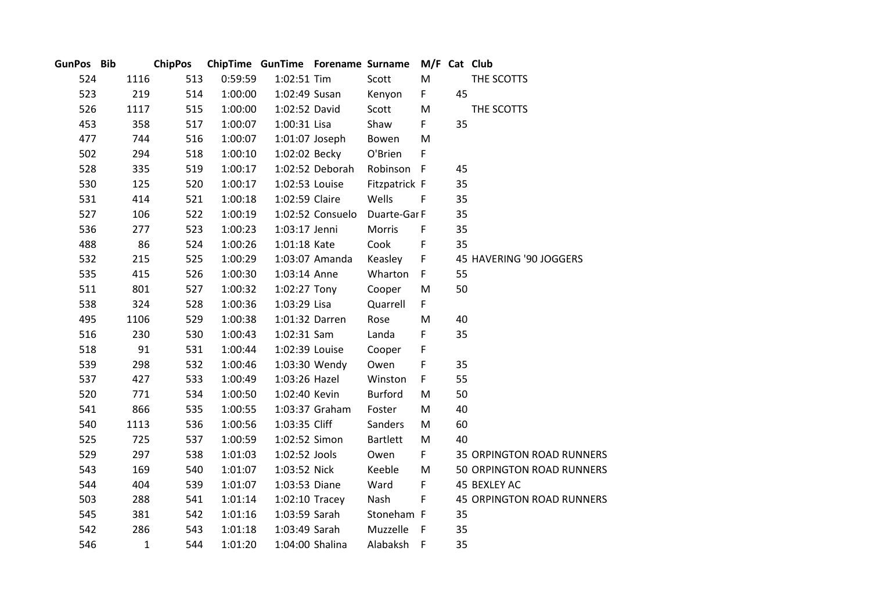| GunPos Bib |              | <b>ChipPos</b> |         | ChipTime GunTime Forename Surname |                  |                 |              |    | M/F Cat Club                     |
|------------|--------------|----------------|---------|-----------------------------------|------------------|-----------------|--------------|----|----------------------------------|
| 524        | 1116         | 513            | 0:59:59 | 1:02:51 Tim                       |                  | Scott           | M            |    | THE SCOTTS                       |
| 523        | 219          | 514            | 1:00:00 | 1:02:49 Susan                     |                  | Kenyon          | F            | 45 |                                  |
| 526        | 1117         | 515            | 1:00:00 | 1:02:52 David                     |                  | Scott           | M            |    | THE SCOTTS                       |
| 453        | 358          | 517            | 1:00:07 | 1:00:31 Lisa                      |                  | Shaw            | F            | 35 |                                  |
| 477        | 744          | 516            | 1:00:07 | 1:01:07 Joseph                    |                  | Bowen           | M            |    |                                  |
| 502        | 294          | 518            | 1:00:10 |                                   | 1:02:02 Becky    | O'Brien         | F            |    |                                  |
| 528        | 335          | 519            | 1:00:17 |                                   | 1:02:52 Deborah  | Robinson F      |              | 45 |                                  |
| 530        | 125          | 520            | 1:00:17 | 1:02:53 Louise                    |                  | Fitzpatrick F   |              | 35 |                                  |
| 531        | 414          | 521            | 1:00:18 | 1:02:59 Claire                    |                  | Wells           | $\mathsf{F}$ | 35 |                                  |
| 527        | 106          | 522            | 1:00:19 |                                   | 1:02:52 Consuelo | Duarte-Gar F    |              | 35 |                                  |
| 536        | 277          | 523            | 1:00:23 | 1:03:17 Jenni                     |                  | Morris          | F            | 35 |                                  |
| 488        | 86           | 524            | 1:00:26 | 1:01:18 Kate                      |                  | Cook            | F            | 35 |                                  |
| 532        | 215          | 525            | 1:00:29 |                                   | 1:03:07 Amanda   | Keasley         | $\mathsf F$  |    | 45 HAVERING '90 JOGGERS          |
| 535        | 415          | 526            | 1:00:30 | 1:03:14 Anne                      |                  | Wharton         | F            | 55 |                                  |
| 511        | 801          | 527            | 1:00:32 | 1:02:27 Tony                      |                  | Cooper          | M            | 50 |                                  |
| 538        | 324          | 528            | 1:00:36 | 1:03:29 Lisa                      |                  | Quarrell        | F            |    |                                  |
| 495        | 1106         | 529            | 1:00:38 | 1:01:32 Darren                    |                  | Rose            | M            | 40 |                                  |
| 516        | 230          | 530            | 1:00:43 | 1:02:31 Sam                       |                  | Landa           | F            | 35 |                                  |
| 518        | 91           | 531            | 1:00:44 | 1:02:39 Louise                    |                  | Cooper          | F            |    |                                  |
| 539        | 298          | 532            | 1:00:46 |                                   | 1:03:30 Wendy    | Owen            | F            | 35 |                                  |
| 537        | 427          | 533            | 1:00:49 | 1:03:26 Hazel                     |                  | Winston         | F            | 55 |                                  |
| 520        | 771          | 534            | 1:00:50 | 1:02:40 Kevin                     |                  | <b>Burford</b>  | M            | 50 |                                  |
| 541        | 866          | 535            | 1:00:55 |                                   | 1:03:37 Graham   | Foster          | M            | 40 |                                  |
| 540        | 1113         | 536            | 1:00:56 | 1:03:35 Cliff                     |                  | Sanders         | M            | 60 |                                  |
| 525        | 725          | 537            | 1:00:59 | 1:02:52 Simon                     |                  | <b>Bartlett</b> | M            | 40 |                                  |
| 529        | 297          | 538            | 1:01:03 | 1:02:52 Jools                     |                  | Owen            | F.           |    | 35 ORPINGTON ROAD RUNNERS        |
| 543        | 169          | 540            | 1:01:07 | 1:03:52 Nick                      |                  | Keeble          | M            |    | 50 ORPINGTON ROAD RUNNERS        |
| 544        | 404          | 539            | 1:01:07 | 1:03:53 Diane                     |                  | Ward            | F.           |    | 45 BEXLEY AC                     |
| 503        | 288          | 541            | 1:01:14 | $1:02:10$ Tracey                  |                  | Nash            | F            |    | <b>45 ORPINGTON ROAD RUNNERS</b> |
| 545        | 381          | 542            | 1:01:16 | 1:03:59 Sarah                     |                  | Stoneham F      |              | 35 |                                  |
| 542        | 286          | 543            | 1:01:18 | 1:03:49 Sarah                     |                  | Muzzelle        | $\mathsf{F}$ | 35 |                                  |
| 546        | $\mathbf{1}$ | 544            | 1:01:20 | 1:04:00 Shalina                   |                  | Alabaksh        | $-F$         | 35 |                                  |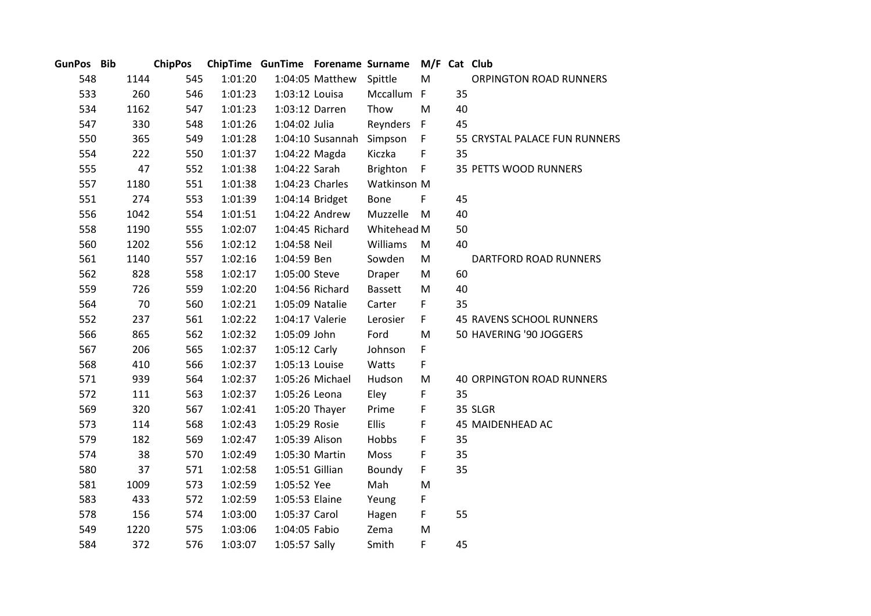| GunPos Bib |      | <b>ChipPos</b> |         |                 |                  | ChipTime GunTime Forename Surname M/F Cat Club |              |    |                                  |
|------------|------|----------------|---------|-----------------|------------------|------------------------------------------------|--------------|----|----------------------------------|
| 548        | 1144 | 545            | 1:01:20 |                 | 1:04:05 Matthew  | Spittle                                        | M            |    | ORPINGTON ROAD RUNNERS           |
| 533        | 260  | 546            | 1:01:23 | 1:03:12 Louisa  |                  | Mccallum F                                     |              | 35 |                                  |
| 534        | 1162 | 547            | 1:01:23 | 1:03:12 Darren  |                  | Thow                                           | M            | 40 |                                  |
| 547        | 330  | 548            | 1:01:26 | 1:04:02 Julia   |                  | Reynders F                                     |              | 45 |                                  |
| 550        | 365  | 549            | 1:01:28 |                 | 1:04:10 Susannah | Simpson                                        | F            |    | 55 CRYSTAL PALACE FUN RUNNERS    |
| 554        | 222  | 550            | 1:01:37 | 1:04:22 Magda   |                  | Kiczka                                         | $\mathsf F$  | 35 |                                  |
| 555        | 47   | 552            | 1:01:38 | 1:04:22 Sarah   |                  | Brighton                                       | $\mathsf{F}$ |    | 35 PETTS WOOD RUNNERS            |
| 557        | 1180 | 551            | 1:01:38 |                 | 1:04:23 Charles  | Watkinson M                                    |              |    |                                  |
| 551        | 274  | 553            | 1:01:39 |                 | 1:04:14 Bridget  | Bone                                           | F            | 45 |                                  |
| 556        | 1042 | 554            | 1:01:51 |                 | 1:04:22 Andrew   | Muzzelle                                       | M            | 40 |                                  |
| 558        | 1190 | 555            | 1:02:07 |                 | 1:04:45 Richard  | Whitehead M                                    |              | 50 |                                  |
| 560        | 1202 | 556            | 1:02:12 | 1:04:58 Neil    |                  | Williams                                       | M            | 40 |                                  |
| 561        | 1140 | 557            | 1:02:16 | 1:04:59 Ben     |                  | Sowden                                         | M            |    | DARTFORD ROAD RUNNERS            |
| 562        | 828  | 558            | 1:02:17 | 1:05:00 Steve   |                  | Draper                                         | M            | 60 |                                  |
| 559        | 726  | 559            | 1:02:20 |                 | 1:04:56 Richard  | <b>Bassett</b>                                 | M            | 40 |                                  |
| 564        | 70   | 560            | 1:02:21 | 1:05:09 Natalie |                  | Carter                                         | F.           | 35 |                                  |
| 552        | 237  | 561            | 1:02:22 | 1:04:17 Valerie |                  | Lerosier                                       | F.           |    | 45 RAVENS SCHOOL RUNNERS         |
| 566        | 865  | 562            | 1:02:32 | 1:05:09 John    |                  | Ford                                           | M            |    | 50 HAVERING '90 JOGGERS          |
| 567        | 206  | 565            | 1:02:37 | 1:05:12 Carly   |                  | Johnson                                        | F            |    |                                  |
| 568        | 410  | 566            | 1:02:37 | 1:05:13 Louise  |                  | Watts                                          | F            |    |                                  |
| 571        | 939  | 564            | 1:02:37 |                 | 1:05:26 Michael  | Hudson                                         | M            |    | <b>40 ORPINGTON ROAD RUNNERS</b> |
| 572        | 111  | 563            | 1:02:37 | 1:05:26 Leona   |                  | Eley                                           | F            | 35 |                                  |
| 569        | 320  | 567            | 1:02:41 | 1:05:20 Thayer  |                  | Prime                                          | F            |    | 35 SLGR                          |
| 573        | 114  | 568            | 1:02:43 | 1:05:29 Rosie   |                  | <b>Ellis</b>                                   | F            |    | 45 MAIDENHEAD AC                 |
| 579        | 182  | 569            | 1:02:47 | 1:05:39 Alison  |                  | Hobbs                                          | F            | 35 |                                  |
| 574        | 38   | 570            | 1:02:49 | 1:05:30 Martin  |                  | Moss                                           | F            | 35 |                                  |
| 580        | 37   | 571            | 1:02:58 | 1:05:51 Gillian |                  | Boundy                                         | F            | 35 |                                  |
| 581        | 1009 | 573            | 1:02:59 | 1:05:52 Yee     |                  | Mah                                            | M            |    |                                  |
| 583        | 433  | 572            | 1:02:59 | 1:05:53 Elaine  |                  | Yeung                                          | F            |    |                                  |
| 578        | 156  | 574            | 1:03:00 | 1:05:37 Carol   |                  | Hagen                                          | F            | 55 |                                  |
| 549        | 1220 | 575            | 1:03:06 | 1:04:05 Fabio   |                  | Zema                                           | M            |    |                                  |
| 584        | 372  | 576            | 1:03:07 | 1:05:57 Sally   |                  | Smith                                          | F            | 45 |                                  |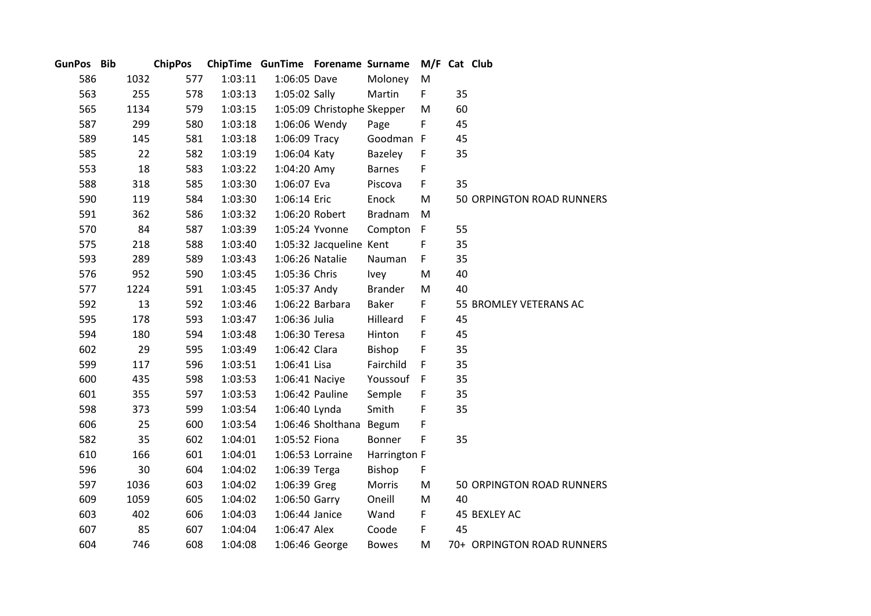| GunPos Bib |      | <b>ChipPos</b> |         |                 | ChipTime GunTime Forename Surname |                | M/F Cat Club |    |                            |
|------------|------|----------------|---------|-----------------|-----------------------------------|----------------|--------------|----|----------------------------|
| 586        | 1032 | 577            | 1:03:11 | 1:06:05 Dave    |                                   | Moloney        | M            |    |                            |
| 563        | 255  | 578            | 1:03:13 | 1:05:02 Sally   |                                   | Martin         | F.           | 35 |                            |
| 565        | 1134 | 579            | 1:03:15 |                 | 1:05:09 Christophe Skepper        |                | M            | 60 |                            |
| 587        | 299  | 580            | 1:03:18 | 1:06:06 Wendy   |                                   | Page           | F            | 45 |                            |
| 589        | 145  | 581            | 1:03:18 | 1:06:09 Tracy   |                                   | Goodman F      |              | 45 |                            |
| 585        | 22   | 582            | 1:03:19 | 1:06:04 Katy    |                                   | Bazeley        | $\mathsf F$  | 35 |                            |
| 553        | 18   | 583            | 1:03:22 | 1:04:20 Amy     |                                   | <b>Barnes</b>  | F            |    |                            |
| 588        | 318  | 585            | 1:03:30 | 1:06:07 Eva     |                                   | Piscova        | F            | 35 |                            |
| 590        | 119  | 584            | 1:03:30 | 1:06:14 Eric    |                                   | Enock          | M            |    | 50 ORPINGTON ROAD RUNNERS  |
| 591        | 362  | 586            | 1:03:32 | 1:06:20 Robert  |                                   | <b>Bradnam</b> | M            |    |                            |
| 570        | 84   | 587            | 1:03:39 | 1:05:24 Yvonne  |                                   | Compton        | $\mathsf{F}$ | 55 |                            |
| 575        | 218  | 588            | 1:03:40 |                 | 1:05:32 Jacqueline Kent           |                | F            | 35 |                            |
| 593        | 289  | 589            | 1:03:43 | 1:06:26 Natalie |                                   | Nauman         | F            | 35 |                            |
| 576        | 952  | 590            | 1:03:45 | 1:05:36 Chris   |                                   | <b>Ivey</b>    | M            | 40 |                            |
| 577        | 1224 | 591            | 1:03:45 | 1:05:37 Andy    |                                   | <b>Brander</b> | M            | 40 |                            |
| 592        | 13   | 592            | 1:03:46 |                 | 1:06:22 Barbara                   | Baker          | F            |    | 55 BROMLEY VETERANS AC     |
| 595        | 178  | 593            | 1:03:47 | 1:06:36 Julia   |                                   | Hilleard       | F            | 45 |                            |
| 594        | 180  | 594            | 1:03:48 | 1:06:30 Teresa  |                                   | Hinton         | F            | 45 |                            |
| 602        | 29   | 595            | 1:03:49 | 1:06:42 Clara   |                                   | Bishop         | F            | 35 |                            |
| 599        | 117  | 596            | 1:03:51 | 1:06:41 Lisa    |                                   | Fairchild      | F            | 35 |                            |
| 600        | 435  | 598            | 1:03:53 | 1:06:41 Naciye  |                                   | Youssouf       | $-F$         | 35 |                            |
| 601        | 355  | 597            | 1:03:53 | 1:06:42 Pauline |                                   | Semple         | F            | 35 |                            |
| 598        | 373  | 599            | 1:03:54 | 1:06:40 Lynda   |                                   | Smith          | F            | 35 |                            |
| 606        | 25   | 600            | 1:03:54 |                 | 1:06:46 Sholthana Begum           |                | F            |    |                            |
| 582        | 35   | 602            | 1:04:01 | 1:05:52 Fiona   |                                   | <b>Bonner</b>  | F            | 35 |                            |
| 610        | 166  | 601            | 1:04:01 |                 | 1:06:53 Lorraine                  | Harrington F   |              |    |                            |
| 596        | 30   | 604            | 1:04:02 | 1:06:39 Terga   |                                   | Bishop         | F            |    |                            |
| 597        | 1036 | 603            | 1:04:02 | 1:06:39 Greg    |                                   | Morris         | M            |    | 50 ORPINGTON ROAD RUNNERS  |
| 609        | 1059 | 605            | 1:04:02 | 1:06:50 Garry   |                                   | Oneill         | M            | 40 |                            |
| 603        | 402  | 606            | 1:04:03 | 1:06:44 Janice  |                                   | Wand           | F            |    | 45 BEXLEY AC               |
| 607        | 85   | 607            | 1:04:04 | 1:06:47 Alex    |                                   | Coode          | F            | 45 |                            |
| 604        | 746  | 608            | 1:04:08 |                 | 1:06:46 George                    | <b>Bowes</b>   | M            |    | 70+ ORPINGTON ROAD RUNNERS |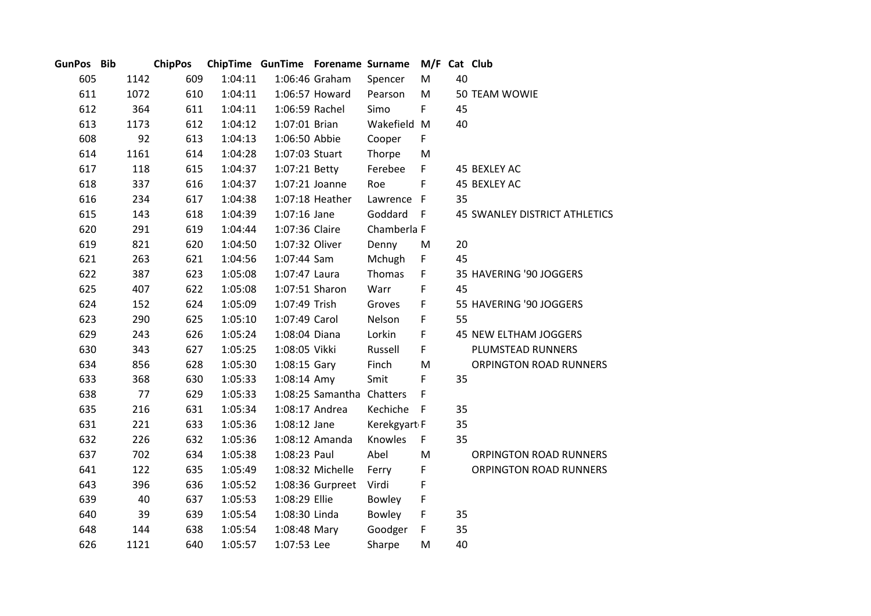| GunPos Bib |      | <b>ChipPos</b> |         | ChipTime GunTime Forename Surname |                           |               | M/F Cat Club |    |                                      |
|------------|------|----------------|---------|-----------------------------------|---------------------------|---------------|--------------|----|--------------------------------------|
| 605        | 1142 | 609            | 1:04:11 |                                   | 1:06:46 Graham            | Spencer       | M            | 40 |                                      |
| 611        | 1072 | 610            | 1:04:11 |                                   | 1:06:57 Howard            | Pearson       | M            |    | 50 TEAM WOWIE                        |
| 612        | 364  | 611            | 1:04:11 | 1:06:59 Rachel                    |                           | Simo          | F            | 45 |                                      |
| 613        | 1173 | 612            | 1:04:12 | 1:07:01 Brian                     |                           | Wakefield M   |              | 40 |                                      |
| 608        | 92   | 613            | 1:04:13 | 1:06:50 Abbie                     |                           | Cooper        | F            |    |                                      |
| 614        | 1161 | 614            | 1:04:28 | 1:07:03 Stuart                    |                           | Thorpe        | M            |    |                                      |
| 617        | 118  | 615            | 1:04:37 | 1:07:21 Betty                     |                           | Ferebee       | F            |    | 45 BEXLEY AC                         |
| 618        | 337  | 616            | 1:04:37 | 1:07:21 Joanne                    |                           | Roe           | F            |    | 45 BEXLEY AC                         |
| 616        | 234  | 617            | 1:04:38 |                                   | 1:07:18 Heather           | Lawrence F    |              | 35 |                                      |
| 615        | 143  | 618            | 1:04:39 | $1:07:16$ Jane                    |                           | Goddard       | F            |    | <b>45 SWANLEY DISTRICT ATHLETICS</b> |
| 620        | 291  | 619            | 1:04:44 | 1:07:36 Claire                    |                           | Chamberla F   |              |    |                                      |
| 619        | 821  | 620            | 1:04:50 | 1:07:32 Oliver                    |                           | Denny         | M            | 20 |                                      |
| 621        | 263  | 621            | 1:04:56 | 1:07:44 Sam                       |                           | Mchugh        | F            | 45 |                                      |
| 622        | 387  | 623            | 1:05:08 | 1:07:47 Laura                     |                           | Thomas        | F            |    | 35 HAVERING '90 JOGGERS              |
| 625        | 407  | 622            | 1:05:08 | 1:07:51 Sharon                    |                           | Warr          | F            | 45 |                                      |
| 624        | 152  | 624            | 1:05:09 | 1:07:49 Trish                     |                           | Groves        | F            |    | 55 HAVERING '90 JOGGERS              |
| 623        | 290  | 625            | 1:05:10 | 1:07:49 Carol                     |                           | Nelson        | F            | 55 |                                      |
| 629        | 243  | 626            | 1:05:24 | 1:08:04 Diana                     |                           | Lorkin        | F            |    | 45 NEW ELTHAM JOGGERS                |
| 630        | 343  | 627            | 1:05:25 | 1:08:05 Vikki                     |                           | Russell       | F            |    | PLUMSTEAD RUNNERS                    |
| 634        | 856  | 628            | 1:05:30 | 1:08:15 Gary                      |                           | Finch         | M            |    | ORPINGTON ROAD RUNNERS               |
| 633        | 368  | 630            | 1:05:33 | 1:08:14 Amy                       |                           | Smit          | $\mathsf F$  | 35 |                                      |
| 638        | 77   | 629            | 1:05:33 |                                   | 1:08:25 Samantha Chatters |               | F            |    |                                      |
| 635        | 216  | 631            | 1:05:34 |                                   | 1:08:17 Andrea            | Kechiche      | - F          | 35 |                                      |
| 631        | 221  | 633            | 1:05:36 | 1:08:12 Jane                      |                           | Kerekgyart F  |              | 35 |                                      |
| 632        | 226  | 632            | 1:05:36 |                                   | 1:08:12 Amanda            | Knowles       | F            | 35 |                                      |
| 637        | 702  | 634            | 1:05:38 | 1:08:23 Paul                      |                           | Abel          | M            |    | <b>ORPINGTON ROAD RUNNERS</b>        |
| 641        | 122  | 635            | 1:05:49 |                                   | 1:08:32 Michelle          | Ferry         | $\mathsf F$  |    | ORPINGTON ROAD RUNNERS               |
| 643        | 396  | 636            | 1:05:52 |                                   | 1:08:36 Gurpreet          | Virdi         | F            |    |                                      |
| 639        | 40   | 637            | 1:05:53 | 1:08:29 Ellie                     |                           | <b>Bowley</b> | F            |    |                                      |
| 640        | 39   | 639            | 1:05:54 | 1:08:30 Linda                     |                           | <b>Bowley</b> | F            | 35 |                                      |
| 648        | 144  | 638            | 1:05:54 | 1:08:48 Mary                      |                           | Goodger       | F            | 35 |                                      |
| 626        | 1121 | 640            | 1:05:57 | 1:07:53 Lee                       |                           | Sharpe        | M            | 40 |                                      |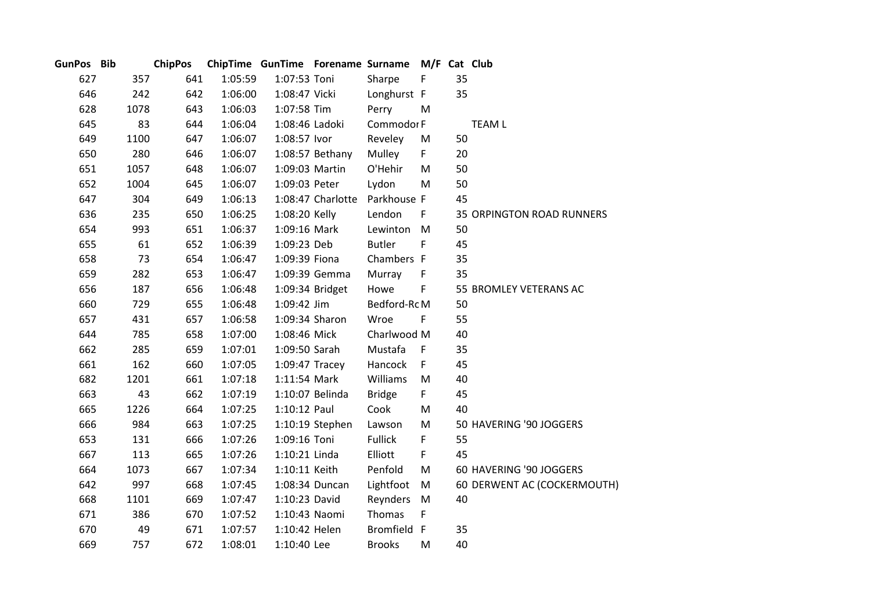| GunPos Bib |      | <b>ChipPos</b> |     |         | ChipTime GunTime Forename Surname |                   |                | M/F Cat Club |    |                                  |
|------------|------|----------------|-----|---------|-----------------------------------|-------------------|----------------|--------------|----|----------------------------------|
| 627        |      | 357            | 641 | 1:05:59 | 1:07:53 Toni                      |                   | Sharpe         | F            | 35 |                                  |
| 646        |      | 242            | 642 | 1:06:00 | 1:08:47 Vicki                     |                   | Longhurst F    |              | 35 |                                  |
| 628        | 1078 |                | 643 | 1:06:03 | 1:07:58 Tim                       |                   | Perry          | M            |    |                                  |
| 645        |      | 83             | 644 | 1:06:04 | 1:08:46 Ladoki                    |                   | Commodor F     |              |    | <b>TEAM L</b>                    |
| 649        | 1100 |                | 647 | 1:06:07 | 1:08:57 lvor                      |                   | Reveley        | M            | 50 |                                  |
| 650        |      | 280            | 646 | 1:06:07 |                                   | 1:08:57 Bethany   | Mulley         | F            | 20 |                                  |
| 651        | 1057 |                | 648 | 1:06:07 | 1:09:03 Martin                    |                   | O'Hehir        | M            | 50 |                                  |
| 652        | 1004 |                | 645 | 1:06:07 | 1:09:03 Peter                     |                   | Lydon          | M            | 50 |                                  |
| 647        |      | 304            | 649 | 1:06:13 |                                   | 1:08:47 Charlotte | Parkhouse F    |              | 45 |                                  |
| 636        |      | 235            | 650 | 1:06:25 | 1:08:20 Kelly                     |                   | Lendon         | $\mathsf F$  |    | <b>35 ORPINGTON ROAD RUNNERS</b> |
| 654        |      | 993            | 651 | 1:06:37 | 1:09:16 Mark                      |                   | Lewinton M     |              | 50 |                                  |
| 655        |      | 61             | 652 | 1:06:39 | 1:09:23 Deb                       |                   | <b>Butler</b>  | F            | 45 |                                  |
| 658        |      | 73             | 654 | 1:06:47 | 1:09:39 Fiona                     |                   | Chambers F     |              | 35 |                                  |
| 659        |      | 282            | 653 | 1:06:47 |                                   | 1:09:39 Gemma     | Murray         | F            | 35 |                                  |
| 656        |      | 187            | 656 | 1:06:48 |                                   | 1:09:34 Bridget   | Howe           | F            |    | 55 BROMLEY VETERANS AC           |
| 660        |      | 729            | 655 | 1:06:48 | 1:09:42 Jim                       |                   | Bedford-RcM    |              | 50 |                                  |
| 657        |      | 431            | 657 | 1:06:58 | 1:09:34 Sharon                    |                   | Wroe           | $\mathsf F$  | 55 |                                  |
| 644        |      | 785            | 658 | 1:07:00 | 1:08:46 Mick                      |                   | Charlwood M    |              | 40 |                                  |
| 662        |      | 285            | 659 | 1:07:01 | 1:09:50 Sarah                     |                   | Mustafa        | $\mathsf F$  | 35 |                                  |
| 661        |      | 162            | 660 | 1:07:05 | $1:09:47$ Tracey                  |                   | Hancock        | F            | 45 |                                  |
| 682        | 1201 |                | 661 | 1:07:18 | 1:11:54 Mark                      |                   | Williams       | M            | 40 |                                  |
| 663        |      | 43             | 662 | 1:07:19 |                                   | 1:10:07 Belinda   | <b>Bridge</b>  | F.           | 45 |                                  |
| 665        | 1226 |                | 664 | 1:07:25 | 1:10:12 Paul                      |                   | Cook           | M            | 40 |                                  |
| 666        |      | 984            | 663 | 1:07:25 |                                   | 1:10:19 Stephen   | Lawson         | M            |    | 50 HAVERING '90 JOGGERS          |
| 653        |      | 131            | 666 | 1:07:26 | 1:09:16 Toni                      |                   | <b>Fullick</b> | F            | 55 |                                  |
| 667        |      | 113            | 665 | 1:07:26 | 1:10:21 Linda                     |                   | Elliott        | F            | 45 |                                  |
| 664        | 1073 |                | 667 | 1:07:34 | 1:10:11 Keith                     |                   | Penfold        | M            |    | 60 HAVERING '90 JOGGERS          |
| 642        |      | 997            | 668 | 1:07:45 |                                   | 1:08:34 Duncan    | Lightfoot      | M            |    | 60 DERWENT AC (COCKERMOUTH)      |
| 668        | 1101 |                | 669 | 1:07:47 | 1:10:23 David                     |                   | Reynders       | M            | 40 |                                  |
| 671        |      | 386            | 670 | 1:07:52 | 1:10:43 Naomi                     |                   | Thomas         | F            |    |                                  |
| 670        |      | 49             | 671 | 1:07:57 | 1:10:42 Helen                     |                   | Bromfield F    |              | 35 |                                  |
| 669        |      | 757            | 672 | 1:08:01 | 1:10:40 Lee                       |                   | <b>Brooks</b>  | M            | 40 |                                  |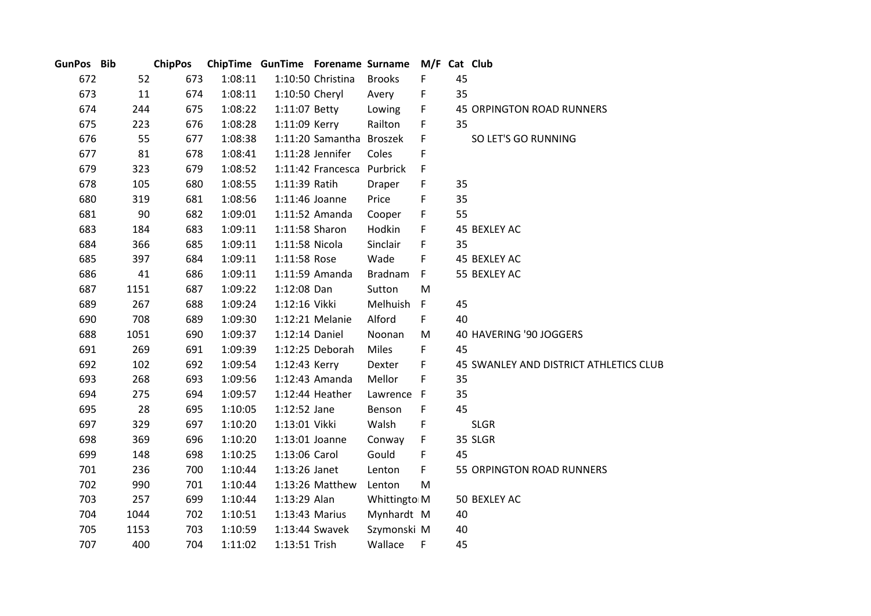| GunPos Bib |      | <b>ChipPos</b> |         | ChipTime GunTime Forename Surname |                          |                | M/F Cat Club |    |                                        |
|------------|------|----------------|---------|-----------------------------------|--------------------------|----------------|--------------|----|----------------------------------------|
| 672        | 52   | 673            | 1:08:11 |                                   | 1:10:50 Christina        | <b>Brooks</b>  | F            | 45 |                                        |
| 673        | 11   | 674            | 1:08:11 | 1:10:50 Cheryl                    |                          | Avery          | F            | 35 |                                        |
| 674        | 244  | 675            | 1:08:22 | 1:11:07 Betty                     |                          | Lowing         | F            |    | 45 ORPINGTON ROAD RUNNERS              |
| 675        | 223  | 676            | 1:08:28 | 1:11:09 Kerry                     |                          | Railton        | F            | 35 |                                        |
| 676        | 55   | 677            | 1:08:38 |                                   | 1:11:20 Samantha Broszek |                | F            |    | SO LET'S GO RUNNING                    |
| 677        | 81   | 678            | 1:08:41 |                                   | 1:11:28 Jennifer         | Coles          | F            |    |                                        |
| 679        | 323  | 679            | 1:08:52 |                                   | 1:11:42 Francesca        | Purbrick       | F            |    |                                        |
| 678        | 105  | 680            | 1:08:55 | 1:11:39 Ratih                     |                          | Draper         | F            | 35 |                                        |
| 680        | 319  | 681            | 1:08:56 | 1:11:46 Joanne                    |                          | Price          | F            | 35 |                                        |
| 681        | 90   | 682            | 1:09:01 |                                   | 1:11:52 Amanda           | Cooper         | F            | 55 |                                        |
| 683        | 184  | 683            | 1:09:11 | 1:11:58 Sharon                    |                          | Hodkin         | F            |    | 45 BEXLEY AC                           |
| 684        | 366  | 685            | 1:09:11 | 1:11:58 Nicola                    |                          | Sinclair       | F            | 35 |                                        |
| 685        | 397  | 684            | 1:09:11 | 1:11:58 Rose                      |                          | Wade           | F            |    | 45 BEXLEY AC                           |
| 686        | 41   | 686            | 1:09:11 |                                   | 1:11:59 Amanda           | <b>Bradnam</b> | $\mathsf F$  |    | 55 BEXLEY AC                           |
| 687        | 1151 | 687            | 1:09:22 | 1:12:08 Dan                       |                          | Sutton         | M            |    |                                        |
| 689        | 267  | 688            | 1:09:24 | 1:12:16 Vikki                     |                          | Melhuish       | $\mathsf F$  | 45 |                                        |
| 690        | 708  | 689            | 1:09:30 |                                   | 1:12:21 Melanie          | Alford         | F            | 40 |                                        |
| 688        | 1051 | 690            | 1:09:37 | 1:12:14 Daniel                    |                          | Noonan         | M            |    | 40 HAVERING '90 JOGGERS                |
| 691        | 269  | 691            | 1:09:39 |                                   | 1:12:25 Deborah          | <b>Miles</b>   | F            | 45 |                                        |
| 692        | 102  | 692            | 1:09:54 | 1:12:43 Kerry                     |                          | Dexter         | F            |    | 45 SWANLEY AND DISTRICT ATHLETICS CLUB |
| 693        | 268  | 693            | 1:09:56 |                                   | 1:12:43 Amanda           | Mellor         | F            | 35 |                                        |
| 694        | 275  | 694            | 1:09:57 |                                   | 1:12:44 Heather          | Lawrence F     |              | 35 |                                        |
| 695        | 28   | 695            | 1:10:05 | $1:12:52$ Jane                    |                          | Benson         | F            | 45 |                                        |
| 697        | 329  | 697            | 1:10:20 | 1:13:01 Vikki                     |                          | Walsh          | F            |    | <b>SLGR</b>                            |
| 698        | 369  | 696            | 1:10:20 | 1:13:01 Joanne                    |                          | Conway         | F            |    | 35 SLGR                                |
| 699        | 148  | 698            | 1:10:25 | 1:13:06 Carol                     |                          | Gould          | F            | 45 |                                        |
| 701        | 236  | 700            | 1:10:44 | 1:13:26 Janet                     |                          | Lenton         | F            |    | 55 ORPINGTON ROAD RUNNERS              |
| 702        | 990  | 701            | 1:10:44 |                                   | 1:13:26 Matthew          | Lenton         | M            |    |                                        |
| 703        | 257  | 699            | 1:10:44 | 1:13:29 Alan                      |                          | Whittingto M   |              |    | 50 BEXLEY AC                           |
| 704        | 1044 | 702            | 1:10:51 | 1:13:43 Marius                    |                          | Mynhardt M     |              | 40 |                                        |
| 705        | 1153 | 703            | 1:10:59 |                                   | 1:13:44 Swavek           | Szymonski M    |              | 40 |                                        |
| 707        | 400  | 704            | 1:11:02 | 1:13:51 Trish                     |                          | Wallace        | F            | 45 |                                        |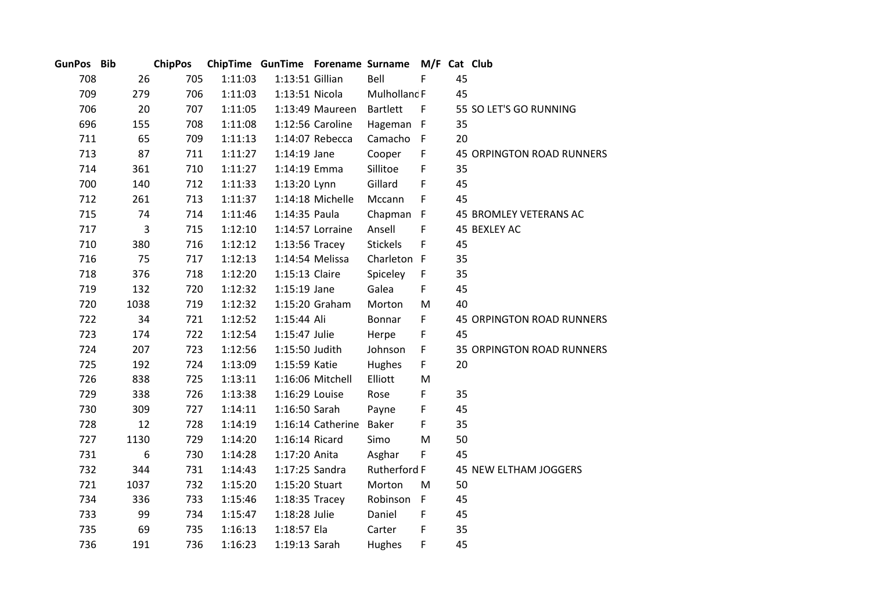| GunPos Bib |      | <b>ChipPos</b> |         | ChipTime GunTime Forename Surname |                   |                 | M/F Cat Club |    |                                  |
|------------|------|----------------|---------|-----------------------------------|-------------------|-----------------|--------------|----|----------------------------------|
| 708        | 26   | 705            | 1:11:03 | 1:13:51 Gillian                   |                   | Bell            | F            | 45 |                                  |
| 709        | 279  | 706            | 1:11:03 | 1:13:51 Nicola                    |                   | Mulhollanc F    |              | 45 |                                  |
| 706        | 20   | 707            | 1:11:05 |                                   | 1:13:49 Maureen   | <b>Bartlett</b> | $\mathsf{F}$ |    | 55 SO LET'S GO RUNNING           |
| 696        | 155  | 708            | 1:11:08 |                                   | 1:12:56 Caroline  | Hageman F       |              | 35 |                                  |
| 711        | 65   | 709            | 1:11:13 |                                   | 1:14:07 Rebecca   | Camacho         | $\mathsf{F}$ | 20 |                                  |
| 713        | 87   | 711            | 1:11:27 | $1:14:19$ Jane                    |                   | Cooper          | F            |    | <b>45 ORPINGTON ROAD RUNNERS</b> |
| 714        | 361  | 710            | 1:11:27 | 1:14:19 Emma                      |                   | Sillitoe        | F            | 35 |                                  |
| 700        | 140  | 712            | 1:11:33 | 1:13:20 Lynn                      |                   | Gillard         | F            | 45 |                                  |
| 712        | 261  | 713            | 1:11:37 |                                   | 1:14:18 Michelle  | Mccann          | F            | 45 |                                  |
| 715        | 74   | 714            | 1:11:46 | 1:14:35 Paula                     |                   | Chapman F       |              |    | 45 BROMLEY VETERANS AC           |
| 717        | 3    | 715            | 1:12:10 |                                   | 1:14:57 Lorraine  | Ansell          | F            |    | 45 BEXLEY AC                     |
| 710        | 380  | 716            | 1:12:12 | $1:13:56$ Tracey                  |                   | <b>Stickels</b> | F            | 45 |                                  |
| 716        | 75   | 717            | 1:12:13 |                                   | 1:14:54 Melissa   | Charleton F     |              | 35 |                                  |
| 718        | 376  | 718            | 1:12:20 | 1:15:13 Claire                    |                   | Spiceley        | F            | 35 |                                  |
| 719        | 132  | 720            | 1:12:32 | $1:15:19$ Jane                    |                   | Galea           | F            | 45 |                                  |
| 720        | 1038 | 719            | 1:12:32 |                                   | 1:15:20 Graham    | Morton          | M            | 40 |                                  |
| 722        | 34   | 721            | 1:12:52 | 1:15:44 Ali                       |                   | Bonnar          | F            |    | 45 ORPINGTON ROAD RUNNERS        |
| 723        | 174  | 722            | 1:12:54 | 1:15:47 Julie                     |                   | Herpe           | F            | 45 |                                  |
| 724        | 207  | 723            | 1:12:56 | 1:15:50 Judith                    |                   | Johnson         | F            |    | <b>35 ORPINGTON ROAD RUNNERS</b> |
| 725        | 192  | 724            | 1:13:09 | 1:15:59 Katie                     |                   | Hughes          | F            | 20 |                                  |
| 726        | 838  | 725            | 1:13:11 |                                   | 1:16:06 Mitchell  | Elliott         | M            |    |                                  |
| 729        | 338  | 726            | 1:13:38 | 1:16:29 Louise                    |                   | Rose            | F            | 35 |                                  |
| 730        | 309  | 727            | 1:14:11 | 1:16:50 Sarah                     |                   | Payne           | F            | 45 |                                  |
| 728        | 12   | 728            | 1:14:19 |                                   | 1:16:14 Catherine | <b>Baker</b>    | F            | 35 |                                  |
| 727        | 1130 | 729            | 1:14:20 | 1:16:14 Ricard                    |                   | Simo            | M            | 50 |                                  |
| 731        | 6    | 730            | 1:14:28 | 1:17:20 Anita                     |                   | Asghar          | F            | 45 |                                  |
| 732        | 344  | 731            | 1:14:43 | 1:17:25 Sandra                    |                   | Rutherford F    |              |    | 45 NEW ELTHAM JOGGERS            |
| 721        | 1037 | 732            | 1:15:20 | 1:15:20 Stuart                    |                   | Morton          | M            | 50 |                                  |
| 734        | 336  | 733            | 1:15:46 | $1:18:35$ Tracey                  |                   | Robinson        | $\mathsf F$  | 45 |                                  |
| 733        | 99   | 734            | 1:15:47 | 1:18:28 Julie                     |                   | Daniel          | F            | 45 |                                  |
| 735        | 69   | 735            | 1:16:13 | 1:18:57 Ela                       |                   | Carter          | F            | 35 |                                  |
| 736        | 191  | 736            | 1:16:23 | 1:19:13 Sarah                     |                   | Hughes          | F            | 45 |                                  |